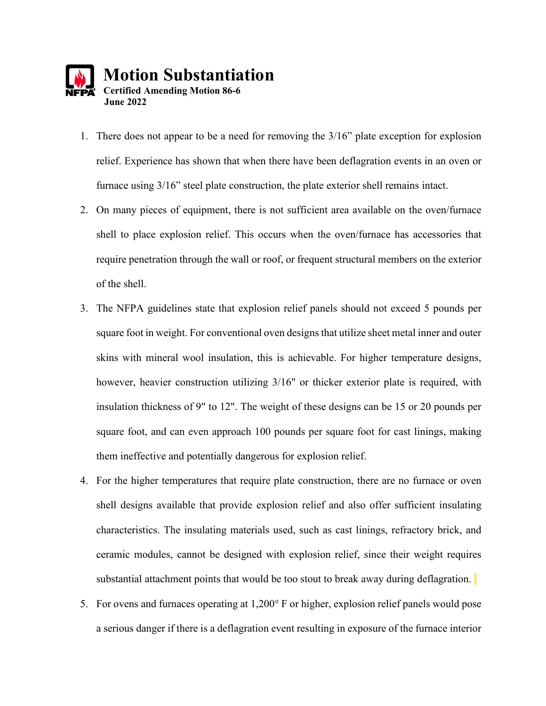

- 1. There does not appear to be a need for removing the 3/16" plate exception for explosion relief. Experience has shown that when there have been deflagration events in an oven or furnace using 3/16" steel plate construction, the plate exterior shell remains intact.
- 2. On many pieces of equipment, there is not sufficient area available on the oven/furnace shell to place explosion relief. This occurs when the oven/furnace has accessories that require penetration through the wall or roof, or frequent structural members on the exterior of the shell.
- 3. The NFPA guidelines state that explosion relief panels should not exceed 5 pounds per square foot in weight. For conventional oven designs that utilize sheet metal inner and outer skins with mineral wool insulation, this is achievable. For higher temperature designs, however, heavier construction utilizing 3/16" or thicker exterior plate is required, with insulation thickness of 9" to 12". The weight of these designs can be 15 or 20 pounds per square foot, and can even approach 100 pounds per square foot for cast linings, making them ineffective and potentially dangerous for explosion relief.
- 4. For the higher temperatures that require plate construction, there are no furnace or oven shell designs available that provide explosion relief and also offer sufficient insulating characteristics. The insulating materials used, such as cast linings, refractory brick, and ceramic modules, cannot be designed with explosion relief, since their weight requires substantial attachment points that would be too stout to break away during deflagration.
- 5. For ovens and furnaces operating at 1,200° F or higher, explosion relief panels would pose a serious danger if there is a deflagration event resulting in exposure of the furnace interior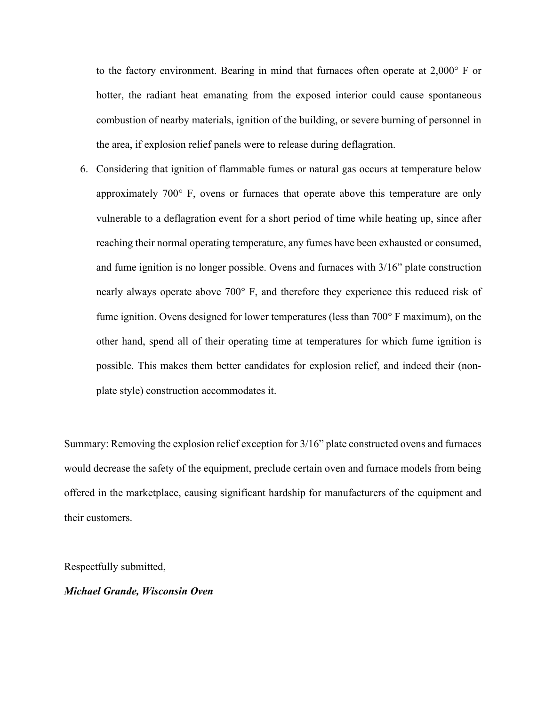to the factory environment. Bearing in mind that furnaces often operate at 2,000° F or hotter, the radiant heat emanating from the exposed interior could cause spontaneous combustion of nearby materials, ignition of the building, or severe burning of personnel in the area, if explosion relief panels were to release during deflagration.

6. Considering that ignition of flammable fumes or natural gas occurs at temperature below approximately 700° F, ovens or furnaces that operate above this temperature are only vulnerable to a deflagration event for a short period of time while heating up, since after reaching their normal operating temperature, any fumes have been exhausted or consumed, and fume ignition is no longer possible. Ovens and furnaces with 3/16" plate construction nearly always operate above 700° F, and therefore they experience this reduced risk of fume ignition. Ovens designed for lower temperatures (less than 700° F maximum), on the other hand, spend all of their operating time at temperatures for which fume ignition is possible. This makes them better candidates for explosion relief, and indeed their (nonplate style) construction accommodates it.

Summary: Removing the explosion relief exception for 3/16" plate constructed ovens and furnaces would decrease the safety of the equipment, preclude certain oven and furnace models from being offered in the marketplace, causing significant hardship for manufacturers of the equipment and their customers.

Respectfully submitted,

*Michael Grande, Wisconsin Oven*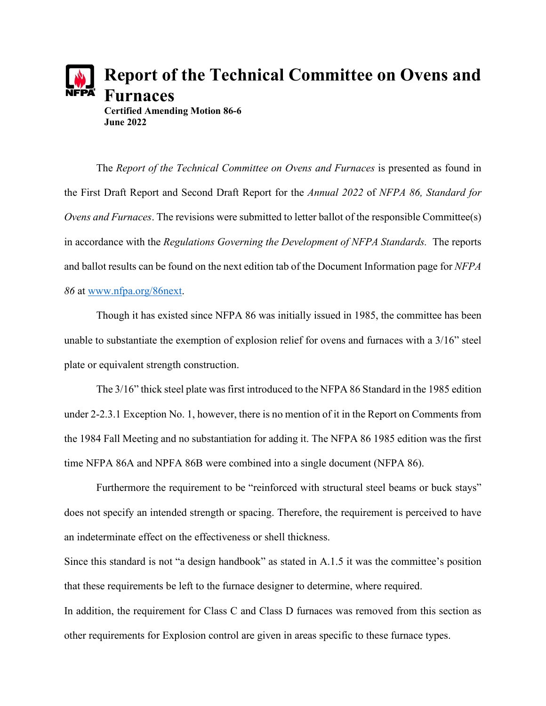

**Certified Amending Motion 86-6 June 2022**

The *Report of the Technical Committee on Ovens and Furnaces* is presented as found in the First Draft Report and Second Draft Report for the *Annual 2022* of *NFPA 86, Standard for Ovens and Furnaces*. The revisions were submitted to letter ballot of the responsible Committee(s) in accordance with the *Regulations Governing the Development of NFPA Standards.* The reports and ballot results can be found on the next edition tab of the Document Information page for *NFPA 86* at [www.nfpa.org/86next.](http://www.nfpa.org/86next)

Though it has existed since NFPA 86 was initially issued in 1985, the committee has been unable to substantiate the exemption of explosion relief for ovens and furnaces with a 3/16" steel plate or equivalent strength construction.

The 3/16" thick steel plate was first introduced to the NFPA 86 Standard in the 1985 edition under 2-2.3.1 Exception No. 1, however, there is no mention of it in the Report on Comments from the 1984 Fall Meeting and no substantiation for adding it. The NFPA 86 1985 edition was the first time NFPA 86A and NPFA 86B were combined into a single document (NFPA 86).

Furthermore the requirement to be "reinforced with structural steel beams or buck stays" does not specify an intended strength or spacing. Therefore, the requirement is perceived to have an indeterminate effect on the effectiveness or shell thickness.

Since this standard is not "a design handbook" as stated in A.1.5 it was the committee's position that these requirements be left to the furnace designer to determine, where required. In addition, the requirement for Class C and Class D furnaces was removed from this section as other requirements for Explosion control are given in areas specific to these furnace types.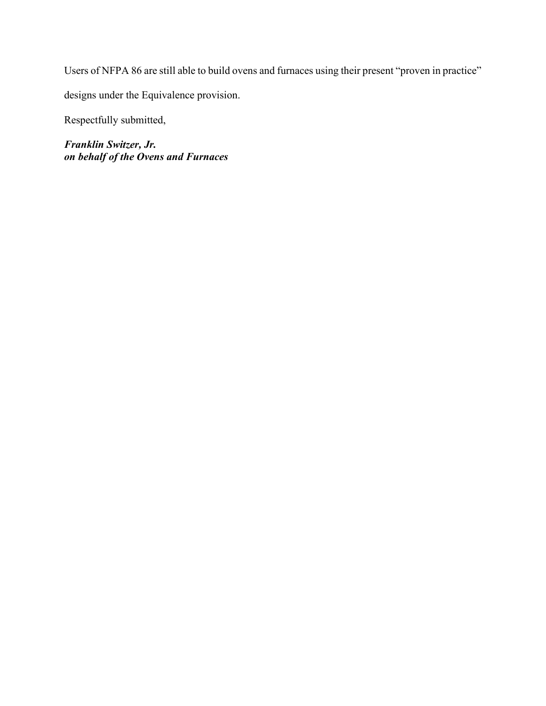Users of NFPA 86 are still able to build ovens and furnaces using their present "proven in practice"

designs under the Equivalence provision.

Respectfully submitted,

*Franklin Switzer, Jr. on behalf of the Ovens and Furnaces*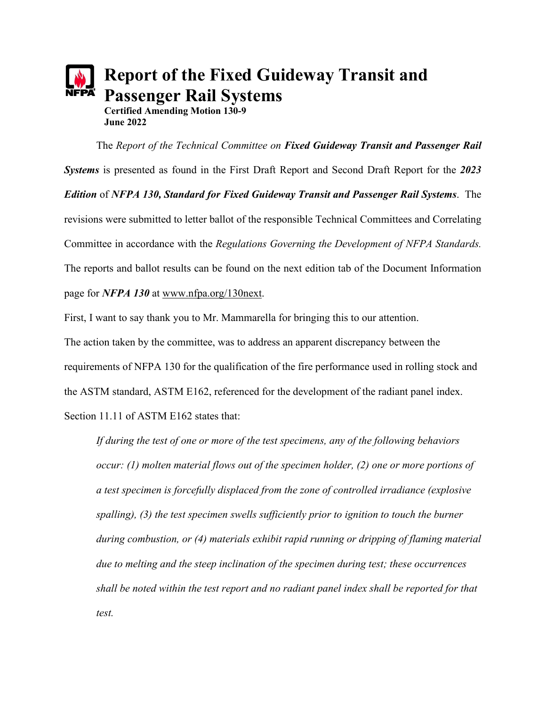# **Report of the Fixed Guideway Transit and Passenger Rail Systems Certified Amending Motion 130-9 June 2022**

The *Report of the Technical Committee on Fixed Guideway Transit and Passenger Rail Systems* is presented as found in the First Draft Report and Second Draft Report for the *2023 Edition* of *NFPA 130, Standard for Fixed Guideway Transit and Passenger Rail Systems*. The revisions were submitted to letter ballot of the responsible Technical Committees and Correlating Committee in accordance with the *Regulations Governing the Development of NFPA Standards.* The reports and ballot results can be found on the next edition tab of the Document Information page for *NFPA 130* at [www.nfpa.org/130next.](http://www.nfpa.org/130next)

First, I want to say thank you to Mr. Mammarella for bringing this to our attention.

The action taken by the committee, was to address an apparent discrepancy between the requirements of NFPA 130 for the qualification of the fire performance used in rolling stock and the ASTM standard, ASTM E162, referenced for the development of the radiant panel index. Section 11.11 of ASTM E162 states that:

*If during the test of one or more of the test specimens, any of the following behaviors occur: (1) molten material flows out of the specimen holder, (2) one or more portions of a test specimen is forcefully displaced from the zone of controlled irradiance (explosive*  spalling), (3) the test specimen swells sufficiently prior to ignition to touch the burner *during combustion, or (4) materials exhibit rapid running or dripping of flaming material due to melting and the steep inclination of the specimen during test; these occurrences shall be noted within the test report and no radiant panel index shall be reported for that test.*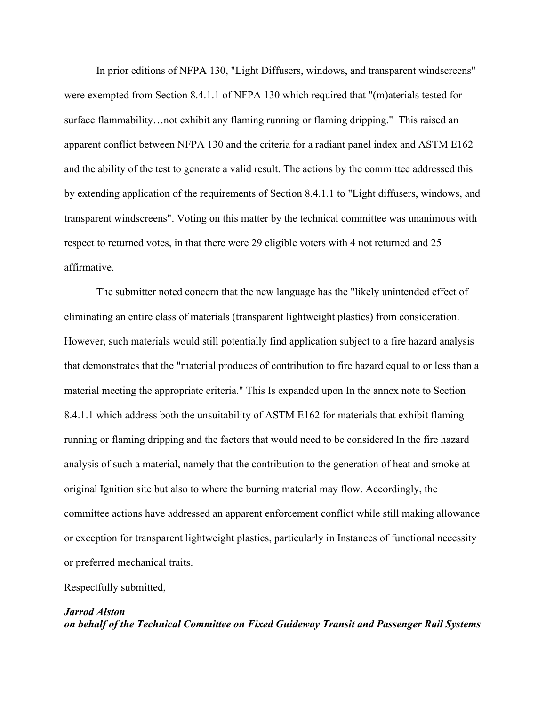In prior editions of NFPA 130, "Light Diffusers, windows, and transparent windscreens" were exempted from Section 8.4.1.1 of NFPA 130 which required that "(m)aterials tested for surface flammability…not exhibit any flaming running or flaming dripping." This raised an apparent conflict between NFPA 130 and the criteria for a radiant panel index and ASTM E162 and the ability of the test to generate a valid result. The actions by the committee addressed this by extending application of the requirements of Section 8.4.1.1 to "Light diffusers, windows, and transparent windscreens". Voting on this matter by the technical committee was unanimous with respect to returned votes, in that there were 29 eligible voters with 4 not returned and 25 affirmative.

The submitter noted concern that the new language has the "likely unintended effect of eliminating an entire class of materials (transparent lightweight plastics) from consideration. However, such materials would still potentially find application subject to a fire hazard analysis that demonstrates that the "material produces of contribution to fire hazard equal to or less than a material meeting the appropriate criteria." This Is expanded upon In the annex note to Section 8.4.1.1 which address both the unsuitability of ASTM E162 for materials that exhibit flaming running or flaming dripping and the factors that would need to be considered In the fire hazard analysis of such a material, namely that the contribution to the generation of heat and smoke at original Ignition site but also to where the burning material may flow. Accordingly, the committee actions have addressed an apparent enforcement conflict while still making allowance or exception for transparent lightweight plastics, particularly in Instances of functional necessity or preferred mechanical traits.

#### Respectfully submitted,

## *Jarrod Alston on behalf of the Technical Committee on Fixed Guideway Transit and Passenger Rail Systems*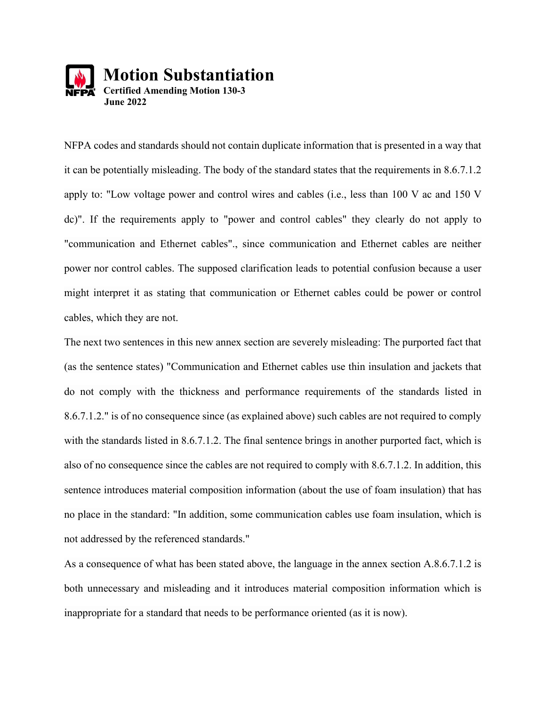

NFPA codes and standards should not contain duplicate information that is presented in a way that it can be potentially misleading. The body of the standard states that the requirements in 8.6.7.1.2 apply to: "Low voltage power and control wires and cables (i.e., less than 100 V ac and 150 V dc)". If the requirements apply to "power and control cables" they clearly do not apply to "communication and Ethernet cables"., since communication and Ethernet cables are neither power nor control cables. The supposed clarification leads to potential confusion because a user might interpret it as stating that communication or Ethernet cables could be power or control cables, which they are not.

The next two sentences in this new annex section are severely misleading: The purported fact that (as the sentence states) "Communication and Ethernet cables use thin insulation and jackets that do not comply with the thickness and performance requirements of the standards listed in 8.6.7.1.2." is of no consequence since (as explained above) such cables are not required to comply with the standards listed in 8.6.7.1.2. The final sentence brings in another purported fact, which is also of no consequence since the cables are not required to comply with 8.6.7.1.2. In addition, this sentence introduces material composition information (about the use of foam insulation) that has no place in the standard: "In addition, some communication cables use foam insulation, which is not addressed by the referenced standards."

As a consequence of what has been stated above, the language in the annex section A.8.6.7.1.2 is both unnecessary and misleading and it introduces material composition information which is inappropriate for a standard that needs to be performance oriented (as it is now).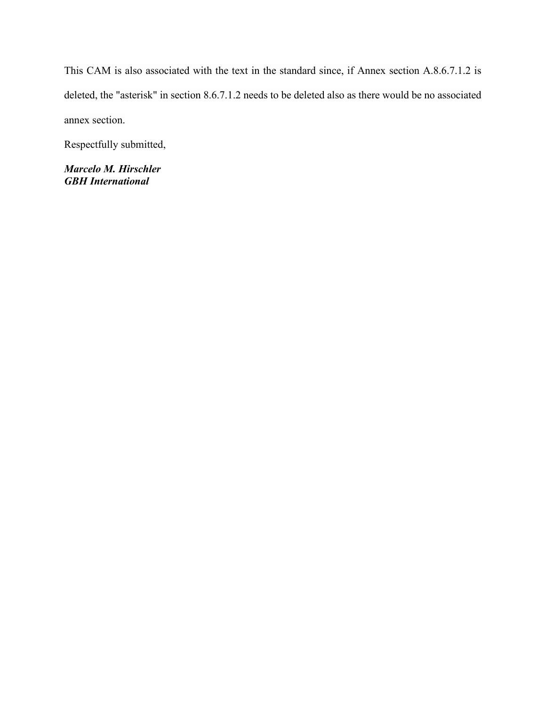This CAM is also associated with the text in the standard since, if Annex section A.8.6.7.1.2 is deleted, the "asterisk" in section 8.6.7.1.2 needs to be deleted also as there would be no associated annex section.

Respectfully submitted,

*Marcelo M. Hirschler GBH International*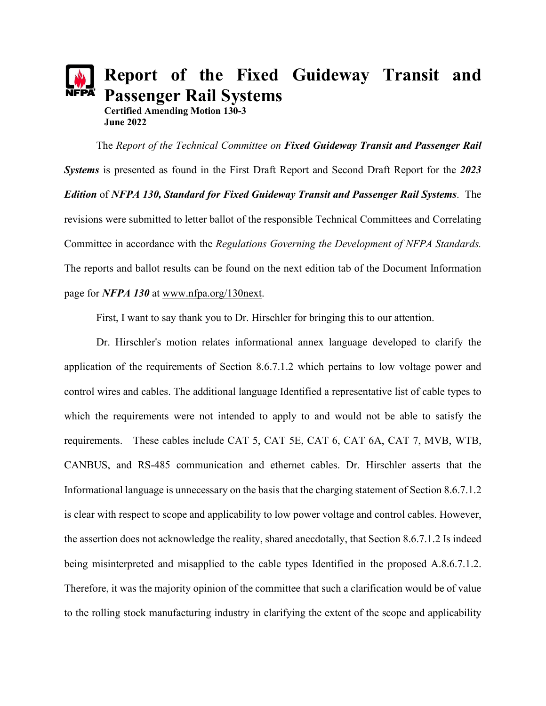# **Report of the Fixed Guideway Transit and Passenger Rail Systems Certified Amending Motion 130-3 June 2022**

The *Report of the Technical Committee on Fixed Guideway Transit and Passenger Rail Systems* is presented as found in the First Draft Report and Second Draft Report for the *2023 Edition* of *NFPA 130, Standard for Fixed Guideway Transit and Passenger Rail Systems*. The revisions were submitted to letter ballot of the responsible Technical Committees and Correlating Committee in accordance with the *Regulations Governing the Development of NFPA Standards.* The reports and ballot results can be found on the next edition tab of the Document Information page for *NFPA 130* at [www.nfpa.org/130next.](http://www.nfpa.org/130next)

First, I want to say thank you to Dr. Hirschler for bringing this to our attention.

Dr. Hirschler's motion relates informational annex language developed to clarify the application of the requirements of Section 8.6.7.1.2 which pertains to low voltage power and control wires and cables. The additional language Identified a representative list of cable types to which the requirements were not intended to apply to and would not be able to satisfy the requirements. These cables include CAT 5, CAT 5E, CAT 6, CAT 6A, CAT 7, MVB, WTB, CANBUS, and RS-485 communication and ethernet cables. Dr. Hirschler asserts that the Informational language is unnecessary on the basis that the charging statement of Section 8.6.7.1.2 is clear with respect to scope and applicability to low power voltage and control cables. However, the assertion does not acknowledge the reality, shared anecdotally, that Section 8.6.7.1.2 Is indeed being misinterpreted and misapplied to the cable types Identified in the proposed A.8.6.7.1.2. Therefore, it was the majority opinion of the committee that such a clarification would be of value to the rolling stock manufacturing industry in clarifying the extent of the scope and applicability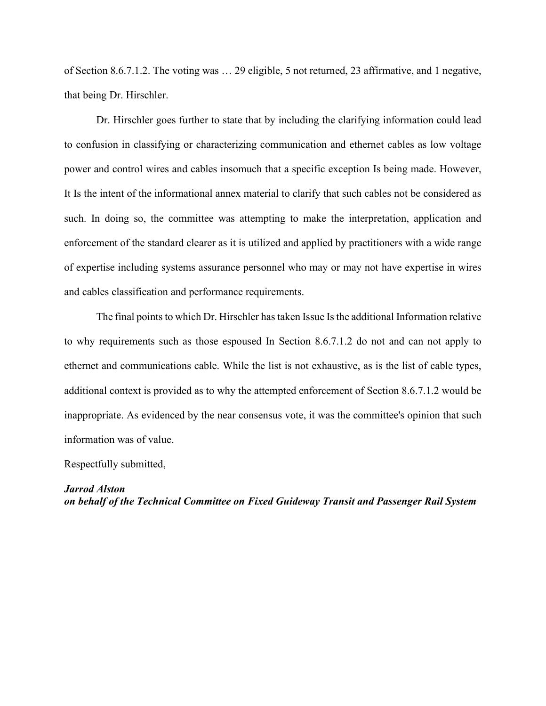of Section 8.6.7.1.2. The voting was … 29 eligible, 5 not returned, 23 affirmative, and 1 negative, that being Dr. Hirschler.

Dr. Hirschler goes further to state that by including the clarifying information could lead to confusion in classifying or characterizing communication and ethernet cables as low voltage power and control wires and cables insomuch that a specific exception Is being made. However, It Is the intent of the informational annex material to clarify that such cables not be considered as such. In doing so, the committee was attempting to make the interpretation, application and enforcement of the standard clearer as it is utilized and applied by practitioners with a wide range of expertise including systems assurance personnel who may or may not have expertise in wires and cables classification and performance requirements.

The final points to which Dr. Hirschler has taken Issue Is the additional Information relative to why requirements such as those espoused In Section 8.6.7.1.2 do not and can not apply to ethernet and communications cable. While the list is not exhaustive, as is the list of cable types, additional context is provided as to why the attempted enforcement of Section 8.6.7.1.2 would be inappropriate. As evidenced by the near consensus vote, it was the committee's opinion that such information was of value.

Respectfully submitted,

*Jarrod Alston on behalf of the Technical Committee on Fixed Guideway Transit and Passenger Rail System*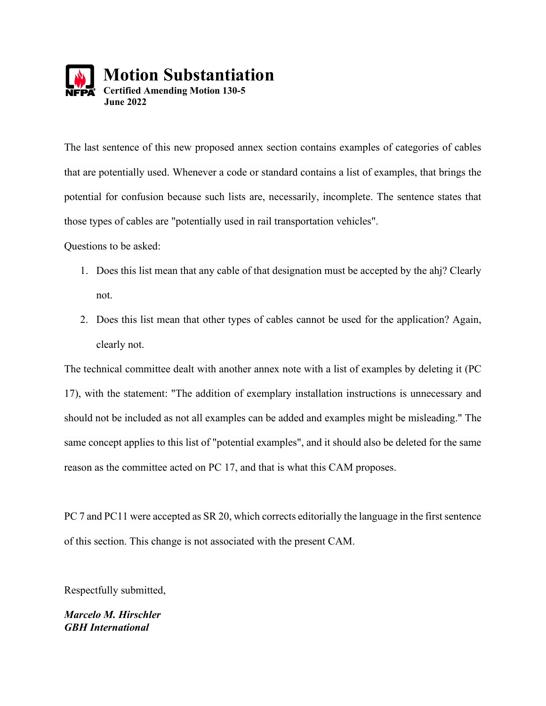

The last sentence of this new proposed annex section contains examples of categories of cables that are potentially used. Whenever a code or standard contains a list of examples, that brings the potential for confusion because such lists are, necessarily, incomplete. The sentence states that those types of cables are "potentially used in rail transportation vehicles".

Questions to be asked:

- 1. Does this list mean that any cable of that designation must be accepted by the ahj? Clearly not.
- 2. Does this list mean that other types of cables cannot be used for the application? Again, clearly not.

The technical committee dealt with another annex note with a list of examples by deleting it (PC 17), with the statement: "The addition of exemplary installation instructions is unnecessary and should not be included as not all examples can be added and examples might be misleading." The same concept applies to this list of "potential examples", and it should also be deleted for the same reason as the committee acted on PC 17, and that is what this CAM proposes.

PC 7 and PC11 were accepted as SR 20, which corrects editorially the language in the first sentence of this section. This change is not associated with the present CAM.

Respectfully submitted,

*Marcelo M. Hirschler GBH International*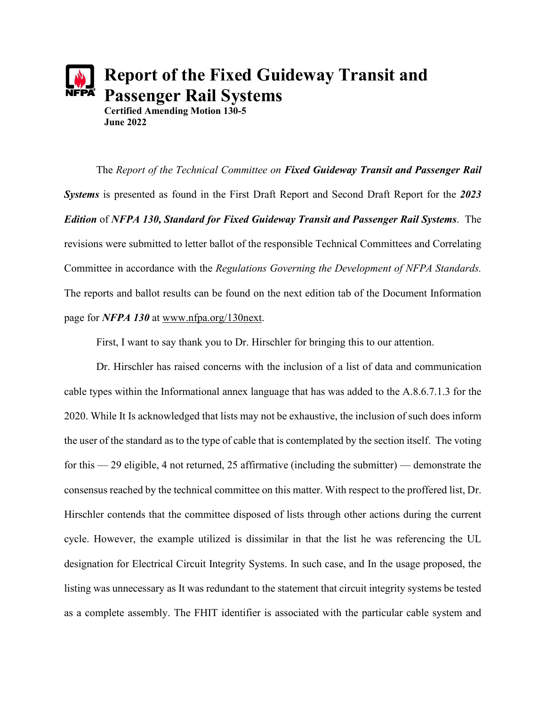# **Report of the Fixed Guideway Transit and Passenger Rail Systems Certified Amending Motion 130-5 June 2022**

The *Report of the Technical Committee on Fixed Guideway Transit and Passenger Rail Systems* is presented as found in the First Draft Report and Second Draft Report for the *2023 Edition* of *NFPA 130, Standard for Fixed Guideway Transit and Passenger Rail Systems*. The revisions were submitted to letter ballot of the responsible Technical Committees and Correlating Committee in accordance with the *Regulations Governing the Development of NFPA Standards.* The reports and ballot results can be found on the next edition tab of the Document Information page for *NFPA 130* at [www.nfpa.org/130next.](http://www.nfpa.org/130next)

First, I want to say thank you to Dr. Hirschler for bringing this to our attention.

Dr. Hirschler has raised concerns with the inclusion of a list of data and communication cable types within the Informational annex language that has was added to the A.8.6.7.1.3 for the 2020. While It Is acknowledged that lists may not be exhaustive, the inclusion of such does inform the user of the standard as to the type of cable that is contemplated by the section itself. The voting for this — 29 eligible, 4 not returned, 25 affirmative (including the submitter) — demonstrate the consensus reached by the technical committee on this matter. With respect to the proffered list, Dr. Hirschler contends that the committee disposed of lists through other actions during the current cycle. However, the example utilized is dissimilar in that the list he was referencing the UL designation for Electrical Circuit Integrity Systems. In such case, and In the usage proposed, the listing was unnecessary as It was redundant to the statement that circuit integrity systems be tested as a complete assembly. The FHIT identifier is associated with the particular cable system and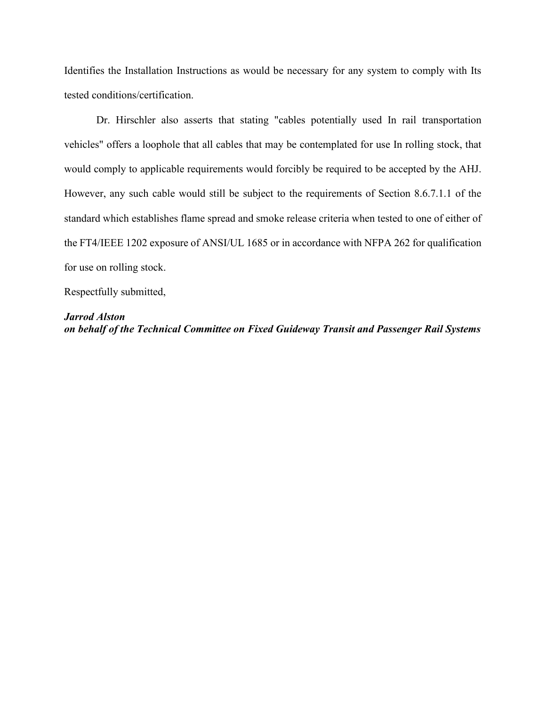Identifies the Installation Instructions as would be necessary for any system to comply with Its tested conditions/certification.

Dr. Hirschler also asserts that stating "cables potentially used In rail transportation vehicles" offers a loophole that all cables that may be contemplated for use In rolling stock, that would comply to applicable requirements would forcibly be required to be accepted by the AHJ. However, any such cable would still be subject to the requirements of Section 8.6.7.1.1 of the standard which establishes flame spread and smoke release criteria when tested to one of either of the FT4/IEEE 1202 exposure of ANSI/UL 1685 or in accordance with NFPA 262 for qualification for use on rolling stock.

Respectfully submitted,

#### *Jarrod Alston*

*on behalf of the Technical Committee on Fixed Guideway Transit and Passenger Rail Systems*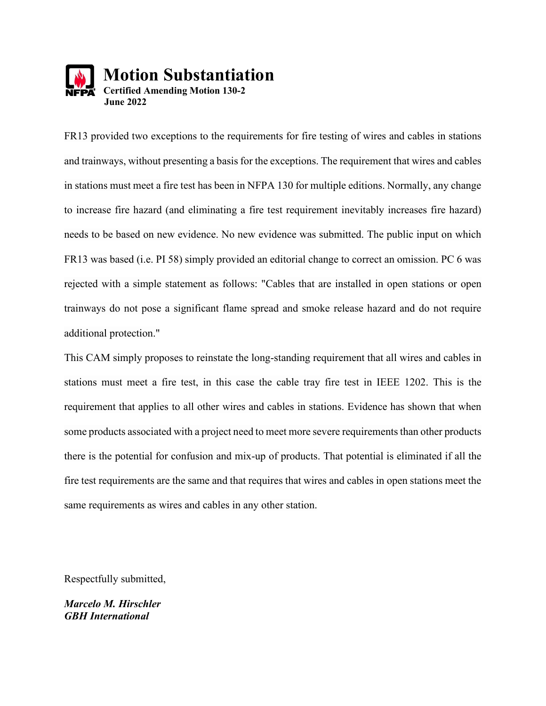

FR13 provided two exceptions to the requirements for fire testing of wires and cables in stations and trainways, without presenting a basis for the exceptions. The requirement that wires and cables in stations must meet a fire test has been in NFPA 130 for multiple editions. Normally, any change to increase fire hazard (and eliminating a fire test requirement inevitably increases fire hazard) needs to be based on new evidence. No new evidence was submitted. The public input on which FR13 was based (i.e. PI 58) simply provided an editorial change to correct an omission. PC 6 was rejected with a simple statement as follows: "Cables that are installed in open stations or open trainways do not pose a significant flame spread and smoke release hazard and do not require additional protection."

This CAM simply proposes to reinstate the long-standing requirement that all wires and cables in stations must meet a fire test, in this case the cable tray fire test in IEEE 1202. This is the requirement that applies to all other wires and cables in stations. Evidence has shown that when some products associated with a project need to meet more severe requirements than other products there is the potential for confusion and mix-up of products. That potential is eliminated if all the fire test requirements are the same and that requires that wires and cables in open stations meet the same requirements as wires and cables in any other station.

Respectfully submitted,

*Marcelo M. Hirschler GBH International*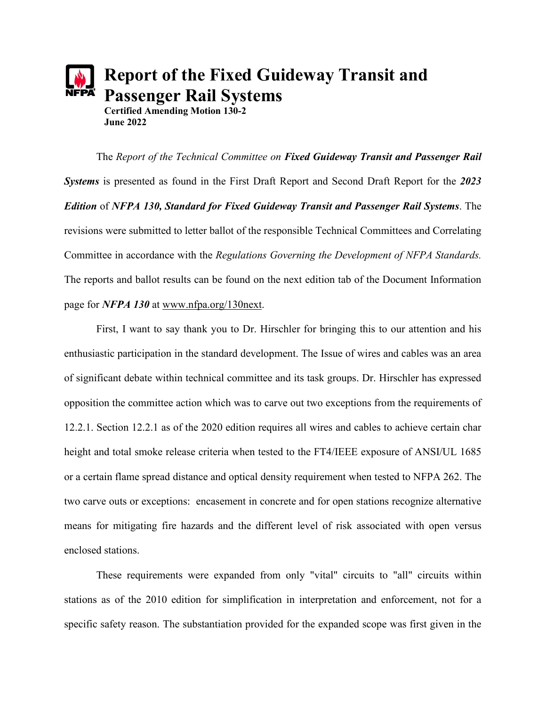# **Report of the Fixed Guideway Transit and Passenger Rail Systems Certified Amending Motion 130-2 June 2022**

The *Report of the Technical Committee on Fixed Guideway Transit and Passenger Rail Systems* is presented as found in the First Draft Report and Second Draft Report for the *2023 Edition* of *NFPA 130, Standard for Fixed Guideway Transit and Passenger Rail Systems*. The revisions were submitted to letter ballot of the responsible Technical Committees and Correlating Committee in accordance with the *Regulations Governing the Development of NFPA Standards.* The reports and ballot results can be found on the next edition tab of the Document Information page for *NFPA 130* at [www.nfpa.org/130next.](http://www.nfpa.org/130next)

First, I want to say thank you to Dr. Hirschler for bringing this to our attention and his enthusiastic participation in the standard development. The Issue of wires and cables was an area of significant debate within technical committee and its task groups. Dr. Hirschler has expressed opposition the committee action which was to carve out two exceptions from the requirements of 12.2.1. Section 12.2.1 as of the 2020 edition requires all wires and cables to achieve certain char height and total smoke release criteria when tested to the FT4/IEEE exposure of ANSI/UL 1685 or a certain flame spread distance and optical density requirement when tested to NFPA 262. The two carve outs or exceptions: encasement in concrete and for open stations recognize alternative means for mitigating fire hazards and the different level of risk associated with open versus enclosed stations.

These requirements were expanded from only "vital" circuits to "all" circuits within stations as of the 2010 edition for simplification in interpretation and enforcement, not for a specific safety reason. The substantiation provided for the expanded scope was first given in the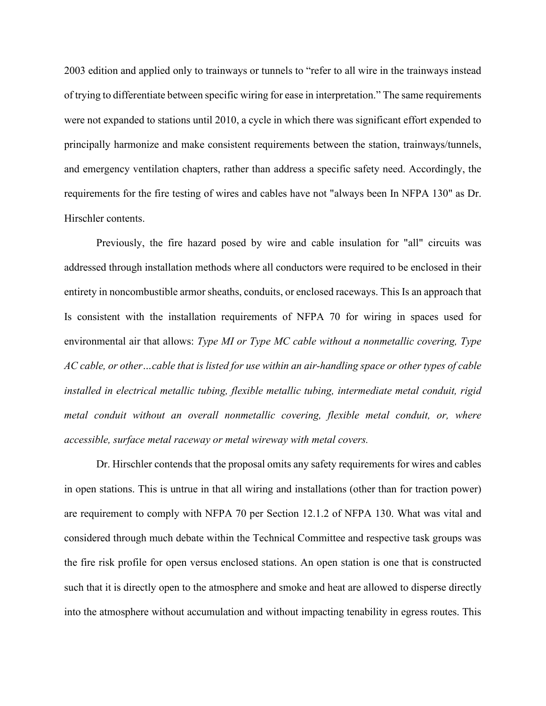2003 edition and applied only to trainways or tunnels to "refer to all wire in the trainways instead of trying to differentiate between specific wiring for ease in interpretation." The same requirements were not expanded to stations until 2010, a cycle in which there was significant effort expended to principally harmonize and make consistent requirements between the station, trainways/tunnels, and emergency ventilation chapters, rather than address a specific safety need. Accordingly, the requirements for the fire testing of wires and cables have not "always been In NFPA 130" as Dr. Hirschler contents.

Previously, the fire hazard posed by wire and cable insulation for "all" circuits was addressed through installation methods where all conductors were required to be enclosed in their entirety in noncombustible armor sheaths, conduits, or enclosed raceways. This Is an approach that Is consistent with the installation requirements of NFPA 70 for wiring in spaces used for environmental air that allows: *Type MI or Type MC cable without a nonmetallic covering, Type AC cable, or other…cable that is listed for use within an air-handling space or other types of cable installed in electrical metallic tubing, flexible metallic tubing, intermediate metal conduit, rigid metal conduit without an overall nonmetallic covering, flexible metal conduit, or, where accessible, surface metal raceway or metal wireway with metal covers.*

Dr. Hirschler contends that the proposal omits any safety requirements for wires and cables in open stations. This is untrue in that all wiring and installations (other than for traction power) are requirement to comply with NFPA 70 per Section 12.1.2 of NFPA 130. What was vital and considered through much debate within the Technical Committee and respective task groups was the fire risk profile for open versus enclosed stations. An open station is one that is constructed such that it is directly open to the atmosphere and smoke and heat are allowed to disperse directly into the atmosphere without accumulation and without impacting tenability in egress routes. This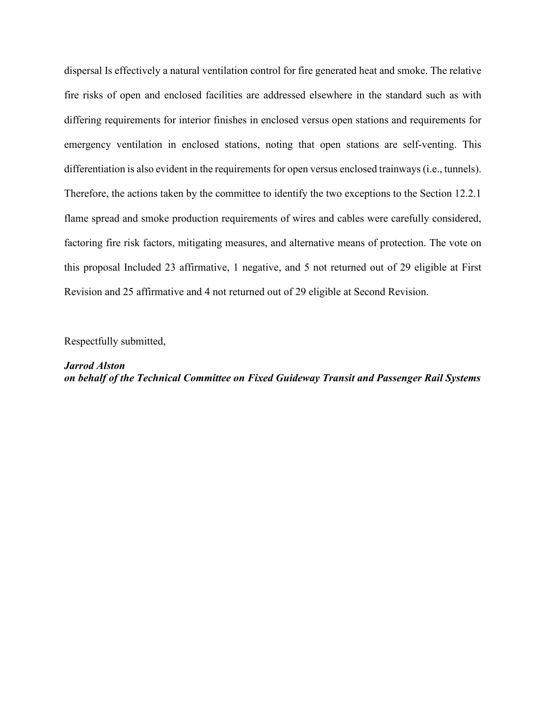dispersal Is effectively a natural ventilation control for fire generated heat and smoke. The relative fire risks of open and enclosed facilities are addressed elsewhere in the standard such as with differing requirements for interior finishes in enclosed versus open stations and requirements for emergency ventilation in enclosed stations, noting that open stations are self-venting. This differentiation is also evident in the requirements for open versus enclosed trainways (i.e., tunnels). Therefore, the actions taken by the committee to identify the two exceptions to the Section 12.2.1 flame spread and smoke production requirements of wires and cables were carefully considered, factoring fire risk factors, mitigating measures, and alternative means of protection. The vote on this proposal Included 23 affirmative, 1 negative, and 5 not returned out of 29 eligible at First Revision and 25 affirmative and 4 not returned out of 29 eligible at Second Revision.

Respectfully submitted,

*Jarrod Alston on behalf of the Technical Committee on Fixed Guideway Transit and Passenger Rail Systems*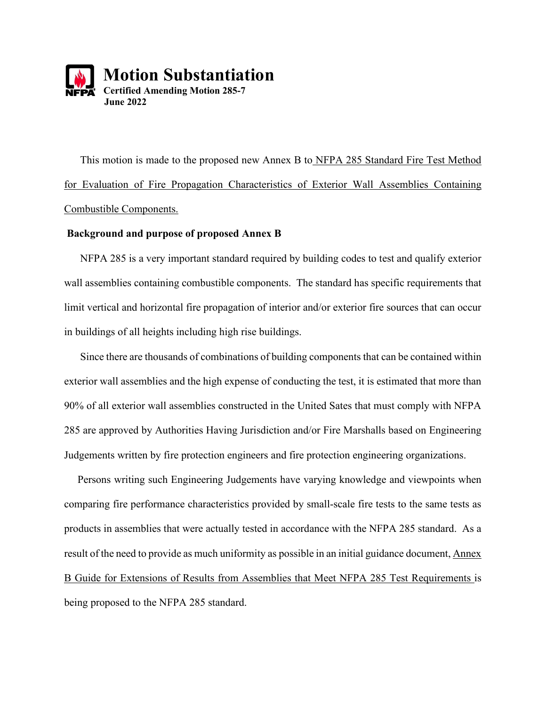

 This motion is made to the proposed new Annex B to NFPA 285 Standard Fire Test Method for Evaluation of Fire Propagation Characteristics of Exterior Wall Assemblies Containing Combustible Components.

#### **Background and purpose of proposed Annex B**

 NFPA 285 is a very important standard required by building codes to test and qualify exterior wall assemblies containing combustible components. The standard has specific requirements that limit vertical and horizontal fire propagation of interior and/or exterior fire sources that can occur in buildings of all heights including high rise buildings.

 Since there are thousands of combinations of building components that can be contained within exterior wall assemblies and the high expense of conducting the test, it is estimated that more than 90% of all exterior wall assemblies constructed in the United Sates that must comply with NFPA 285 are approved by Authorities Having Jurisdiction and/or Fire Marshalls based on Engineering Judgements written by fire protection engineers and fire protection engineering organizations.

 Persons writing such Engineering Judgements have varying knowledge and viewpoints when comparing fire performance characteristics provided by small-scale fire tests to the same tests as products in assemblies that were actually tested in accordance with the NFPA 285 standard. As a result of the need to provide as much uniformity as possible in an initial guidance document, Annex B Guide for Extensions of Results from Assemblies that Meet NFPA 285 Test Requirements is being proposed to the NFPA 285 standard.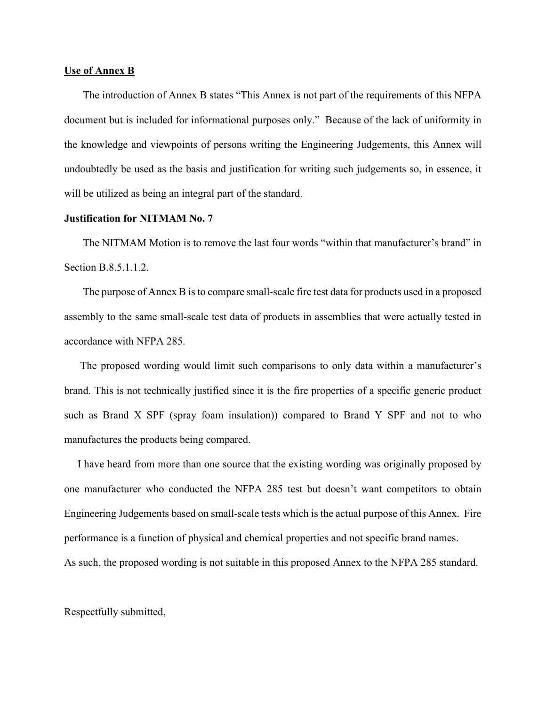#### **Use of Annex B**

 The introduction of Annex B states "This Annex is not part of the requirements of this NFPA document but is included for informational purposes only." Because of the lack of uniformity in the knowledge and viewpoints of persons writing the Engineering Judgements, this Annex will undoubtedly be used as the basis and justification for writing such judgements so, in essence, it will be utilized as being an integral part of the standard.

#### **Justification for NITMAM No. 7**

 The NITMAM Motion is to remove the last four words "within that manufacturer's brand" in Section B.8.5.1.1.2.

 The purpose of Annex B is to compare small-scale fire test data for products used in a proposed assembly to the same small-scale test data of products in assemblies that were actually tested in accordance with NFPA 285.

 The proposed wording would limit such comparisons to only data within a manufacturer's brand. This is not technically justified since it is the fire properties of a specific generic product such as Brand X SPF (spray foam insulation)) compared to Brand Y SPF and not to who manufactures the products being compared.

 I have heard from more than one source that the existing wording was originally proposed by one manufacturer who conducted the NFPA 285 test but doesn't want competitors to obtain Engineering Judgements based on small-scale tests which is the actual purpose of this Annex. Fire performance is a function of physical and chemical properties and not specific brand names. As such, the proposed wording is not suitable in this proposed Annex to the NFPA 285 standard.

Respectfully submitted,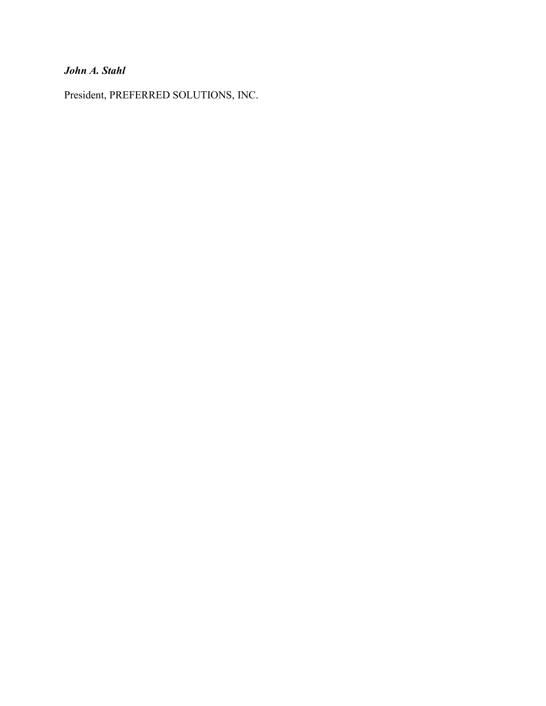# *John A. Stahl*

President, PREFERRED SOLUTIONS, INC.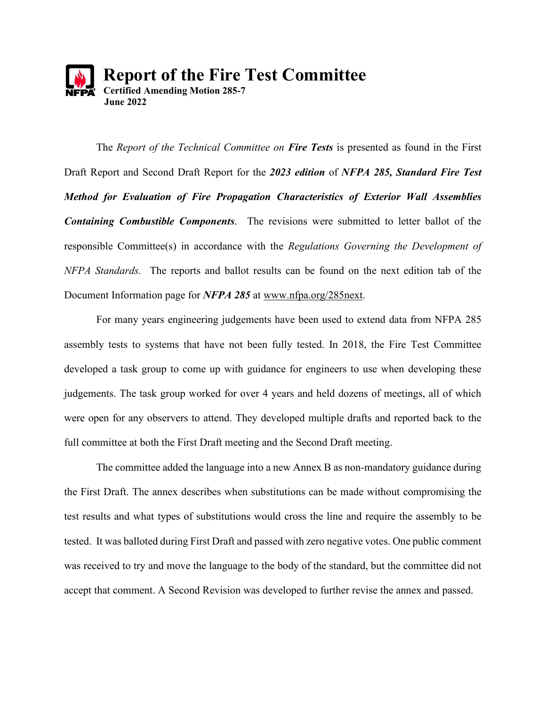

The *Report of the Technical Committee on Fire Tests* is presented as found in the First Draft Report and Second Draft Report for the *2023 edition* of *NFPA 285, Standard Fire Test Method for Evaluation of Fire Propagation Characteristics of Exterior Wall Assemblies Containing Combustible Components*. The revisions were submitted to letter ballot of the responsible Committee(s) in accordance with the *Regulations Governing the Development of NFPA Standards.* The reports and ballot results can be found on the next edition tab of the Document Information page for *NFPA 285* at [www.nfpa.org/285next.](http://www.nfpa.org/285next)

For many years engineering judgements have been used to extend data from NFPA 285 assembly tests to systems that have not been fully tested. In 2018, the Fire Test Committee developed a task group to come up with guidance for engineers to use when developing these judgements. The task group worked for over 4 years and held dozens of meetings, all of which were open for any observers to attend. They developed multiple drafts and reported back to the full committee at both the First Draft meeting and the Second Draft meeting.

The committee added the language into a new Annex B as non-mandatory guidance during the First Draft. The annex describes when substitutions can be made without compromising the test results and what types of substitutions would cross the line and require the assembly to be tested. It was balloted during First Draft and passed with zero negative votes. One public comment was received to try and move the language to the body of the standard, but the committee did not accept that comment. A Second Revision was developed to further revise the annex and passed.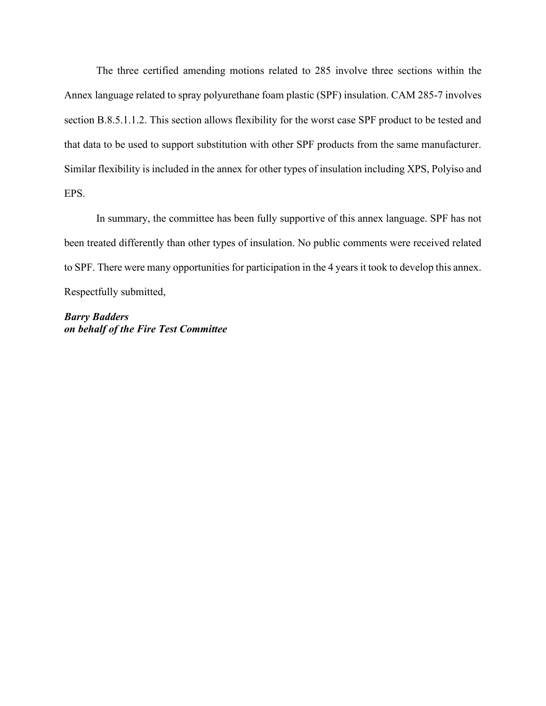The three certified amending motions related to 285 involve three sections within the Annex language related to spray polyurethane foam plastic (SPF) insulation. CAM 285-7 involves section B.8.5.1.1.2. This section allows flexibility for the worst case SPF product to be tested and that data to be used to support substitution with other SPF products from the same manufacturer. Similar flexibility is included in the annex for other types of insulation including XPS, Polyiso and EPS.

In summary, the committee has been fully supportive of this annex language. SPF has not been treated differently than other types of insulation. No public comments were received related to SPF. There were many opportunities for participation in the 4 years it took to develop this annex. Respectfully submitted,

*Barry Badders on behalf of the Fire Test Committee*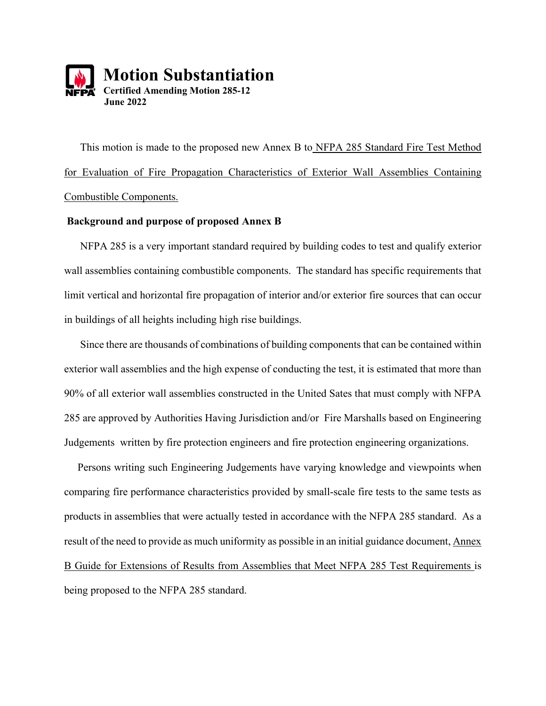

 This motion is made to the proposed new Annex B to NFPA 285 Standard Fire Test Method for Evaluation of Fire Propagation Characteristics of Exterior Wall Assemblies Containing Combustible Components.

### **Background and purpose of proposed Annex B**

 NFPA 285 is a very important standard required by building codes to test and qualify exterior wall assemblies containing combustible components. The standard has specific requirements that limit vertical and horizontal fire propagation of interior and/or exterior fire sources that can occur in buildings of all heights including high rise buildings.

 Since there are thousands of combinations of building components that can be contained within exterior wall assemblies and the high expense of conducting the test, it is estimated that more than 90% of all exterior wall assemblies constructed in the United Sates that must comply with NFPA 285 are approved by Authorities Having Jurisdiction and/or Fire Marshalls based on Engineering Judgements written by fire protection engineers and fire protection engineering organizations.

 Persons writing such Engineering Judgements have varying knowledge and viewpoints when comparing fire performance characteristics provided by small-scale fire tests to the same tests as products in assemblies that were actually tested in accordance with the NFPA 285 standard. As a result of the need to provide as much uniformity as possible in an initial guidance document, Annex B Guide for Extensions of Results from Assemblies that Meet NFPA 285 Test Requirements is being proposed to the NFPA 285 standard.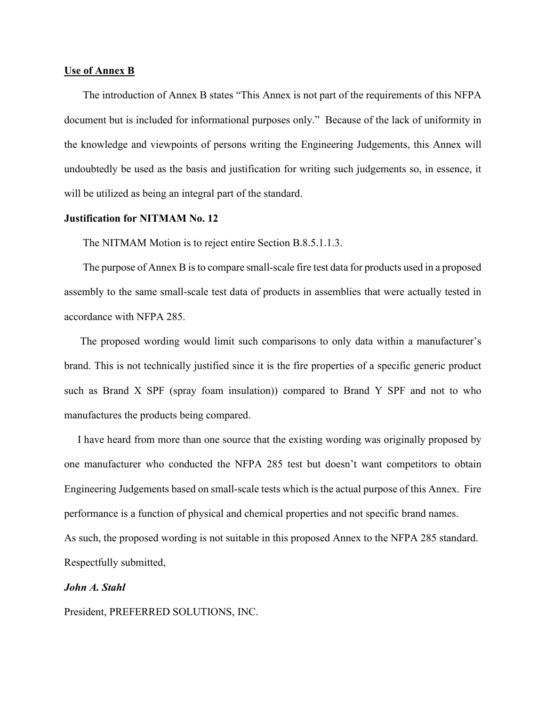#### **Use of Annex B**

 The introduction of Annex B states "This Annex is not part of the requirements of this NFPA document but is included for informational purposes only." Because of the lack of uniformity in the knowledge and viewpoints of persons writing the Engineering Judgements, this Annex will undoubtedly be used as the basis and justification for writing such judgements so, in essence, it will be utilized as being an integral part of the standard.

#### **Justification for NITMAM No. 12**

The NITMAM Motion is to reject entire Section B.8.5.1.1.3.

 The purpose of Annex B is to compare small-scale fire test data for products used in a proposed assembly to the same small-scale test data of products in assemblies that were actually tested in accordance with NFPA 285.

 The proposed wording would limit such comparisons to only data within a manufacturer's brand. This is not technically justified since it is the fire properties of a specific generic product such as Brand X SPF (spray foam insulation)) compared to Brand Y SPF and not to who manufactures the products being compared.

 I have heard from more than one source that the existing wording was originally proposed by one manufacturer who conducted the NFPA 285 test but doesn't want competitors to obtain Engineering Judgements based on small-scale tests which is the actual purpose of this Annex. Fire performance is a function of physical and chemical properties and not specific brand names. As such, the proposed wording is not suitable in this proposed Annex to the NFPA 285 standard. Respectfully submitted,

#### *John A. Stahl*

President, PREFERRED SOLUTIONS, INC.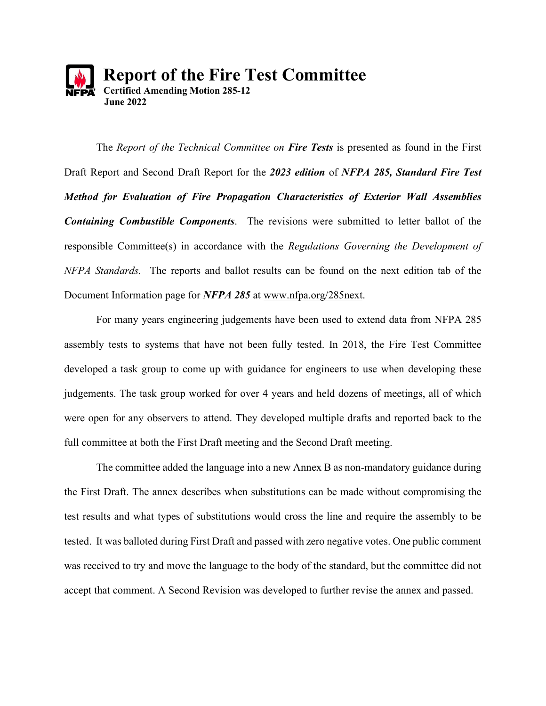

The *Report of the Technical Committee on Fire Tests* is presented as found in the First Draft Report and Second Draft Report for the *2023 edition* of *NFPA 285, Standard Fire Test Method for Evaluation of Fire Propagation Characteristics of Exterior Wall Assemblies Containing Combustible Components*. The revisions were submitted to letter ballot of the responsible Committee(s) in accordance with the *Regulations Governing the Development of NFPA Standards.* The reports and ballot results can be found on the next edition tab of the Document Information page for *NFPA 285* at [www.nfpa.org/285next.](http://www.nfpa.org/285next)

For many years engineering judgements have been used to extend data from NFPA 285 assembly tests to systems that have not been fully tested. In 2018, the Fire Test Committee developed a task group to come up with guidance for engineers to use when developing these judgements. The task group worked for over 4 years and held dozens of meetings, all of which were open for any observers to attend. They developed multiple drafts and reported back to the full committee at both the First Draft meeting and the Second Draft meeting.

The committee added the language into a new Annex B as non-mandatory guidance during the First Draft. The annex describes when substitutions can be made without compromising the test results and what types of substitutions would cross the line and require the assembly to be tested. It was balloted during First Draft and passed with zero negative votes. One public comment was received to try and move the language to the body of the standard, but the committee did not accept that comment. A Second Revision was developed to further revise the annex and passed.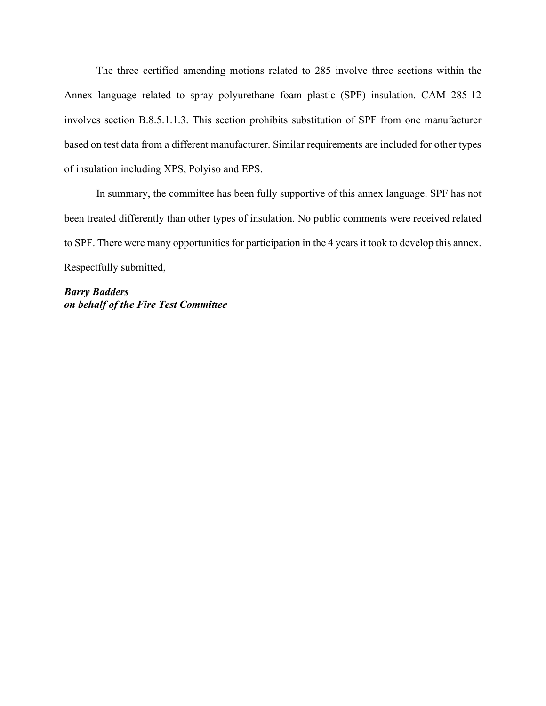The three certified amending motions related to 285 involve three sections within the Annex language related to spray polyurethane foam plastic (SPF) insulation. CAM 285-12 involves section B.8.5.1.1.3. This section prohibits substitution of SPF from one manufacturer based on test data from a different manufacturer. Similar requirements are included for other types of insulation including XPS, Polyiso and EPS.

In summary, the committee has been fully supportive of this annex language. SPF has not been treated differently than other types of insulation. No public comments were received related to SPF. There were many opportunities for participation in the 4 years it took to develop this annex. Respectfully submitted,

*Barry Badders on behalf of the Fire Test Committee*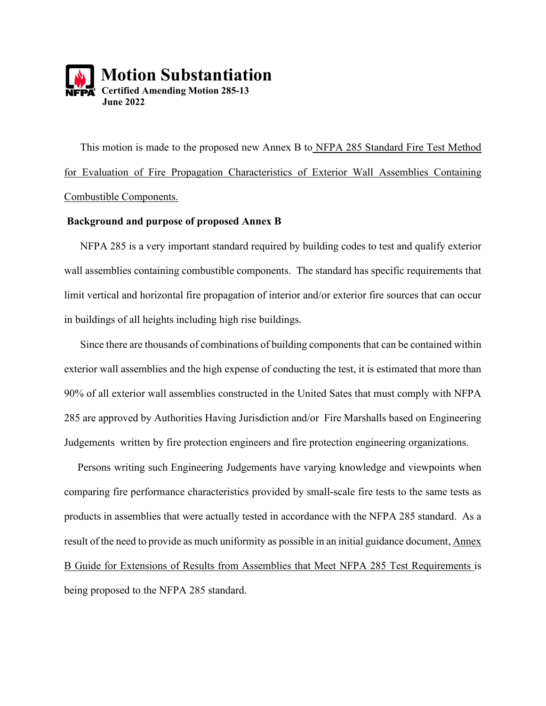

 This motion is made to the proposed new Annex B to NFPA 285 Standard Fire Test Method for Evaluation of Fire Propagation Characteristics of Exterior Wall Assemblies Containing Combustible Components.

#### **Background and purpose of proposed Annex B**

 NFPA 285 is a very important standard required by building codes to test and qualify exterior wall assemblies containing combustible components. The standard has specific requirements that limit vertical and horizontal fire propagation of interior and/or exterior fire sources that can occur in buildings of all heights including high rise buildings.

 Since there are thousands of combinations of building components that can be contained within exterior wall assemblies and the high expense of conducting the test, it is estimated that more than 90% of all exterior wall assemblies constructed in the United Sates that must comply with NFPA 285 are approved by Authorities Having Jurisdiction and/or Fire Marshalls based on Engineering Judgements written by fire protection engineers and fire protection engineering organizations.

 Persons writing such Engineering Judgements have varying knowledge and viewpoints when comparing fire performance characteristics provided by small-scale fire tests to the same tests as products in assemblies that were actually tested in accordance with the NFPA 285 standard. As a result of the need to provide as much uniformity as possible in an initial guidance document, Annex B Guide for Extensions of Results from Assemblies that Meet NFPA 285 Test Requirements is being proposed to the NFPA 285 standard.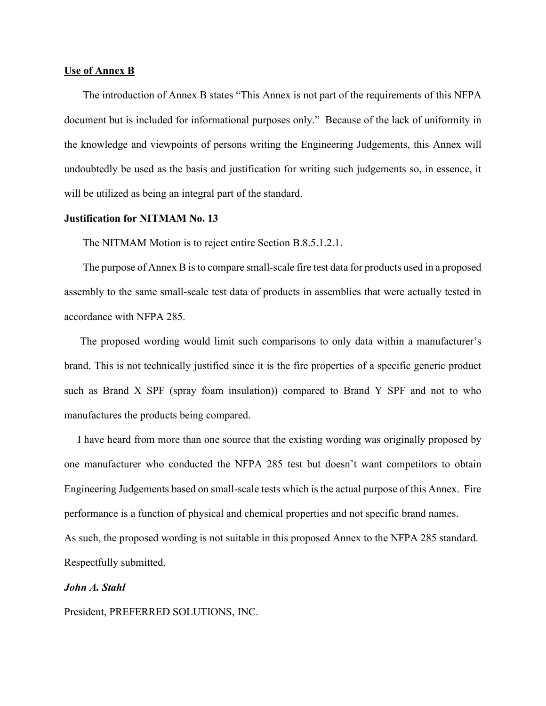#### **Use of Annex B**

 The introduction of Annex B states "This Annex is not part of the requirements of this NFPA document but is included for informational purposes only." Because of the lack of uniformity in the knowledge and viewpoints of persons writing the Engineering Judgements, this Annex will undoubtedly be used as the basis and justification for writing such judgements so, in essence, it will be utilized as being an integral part of the standard.

#### **Justification for NITMAM No. 13**

The NITMAM Motion is to reject entire Section B.8.5.1.2.1.

 The purpose of Annex B is to compare small-scale fire test data for products used in a proposed assembly to the same small-scale test data of products in assemblies that were actually tested in accordance with NFPA 285.

 The proposed wording would limit such comparisons to only data within a manufacturer's brand. This is not technically justified since it is the fire properties of a specific generic product such as Brand X SPF (spray foam insulation)) compared to Brand Y SPF and not to who manufactures the products being compared.

 I have heard from more than one source that the existing wording was originally proposed by one manufacturer who conducted the NFPA 285 test but doesn't want competitors to obtain Engineering Judgements based on small-scale tests which is the actual purpose of this Annex. Fire performance is a function of physical and chemical properties and not specific brand names. As such, the proposed wording is not suitable in this proposed Annex to the NFPA 285 standard. Respectfully submitted,

#### *John A. Stahl*

President, PREFERRED SOLUTIONS, INC.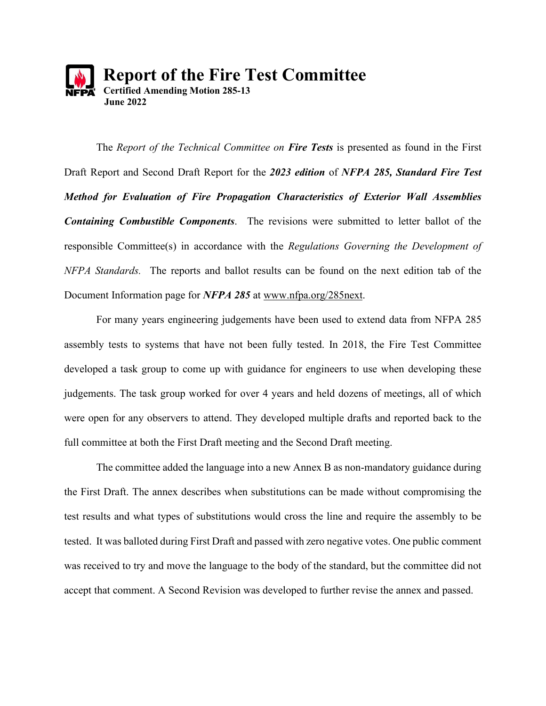

The *Report of the Technical Committee on Fire Tests* is presented as found in the First Draft Report and Second Draft Report for the *2023 edition* of *NFPA 285, Standard Fire Test Method for Evaluation of Fire Propagation Characteristics of Exterior Wall Assemblies Containing Combustible Components*. The revisions were submitted to letter ballot of the responsible Committee(s) in accordance with the *Regulations Governing the Development of NFPA Standards.* The reports and ballot results can be found on the next edition tab of the Document Information page for *NFPA 285* at [www.nfpa.org/285next.](http://www.nfpa.org/285next)

For many years engineering judgements have been used to extend data from NFPA 285 assembly tests to systems that have not been fully tested. In 2018, the Fire Test Committee developed a task group to come up with guidance for engineers to use when developing these judgements. The task group worked for over 4 years and held dozens of meetings, all of which were open for any observers to attend. They developed multiple drafts and reported back to the full committee at both the First Draft meeting and the Second Draft meeting.

The committee added the language into a new Annex B as non-mandatory guidance during the First Draft. The annex describes when substitutions can be made without compromising the test results and what types of substitutions would cross the line and require the assembly to be tested. It was balloted during First Draft and passed with zero negative votes. One public comment was received to try and move the language to the body of the standard, but the committee did not accept that comment. A Second Revision was developed to further revise the annex and passed.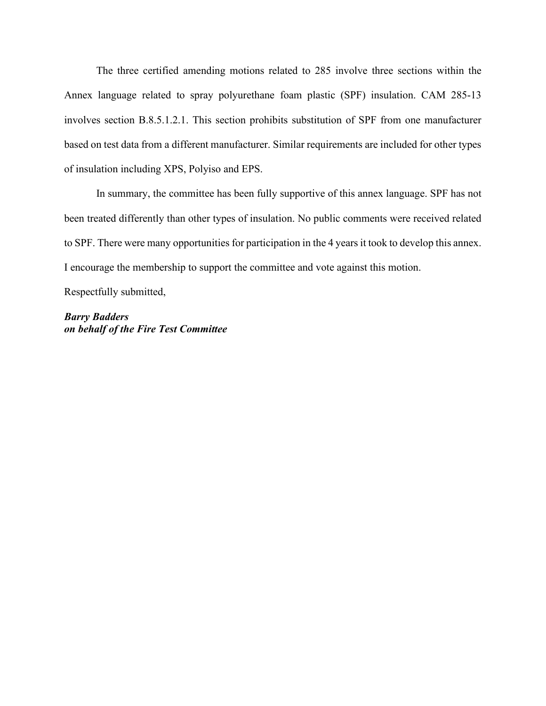The three certified amending motions related to 285 involve three sections within the Annex language related to spray polyurethane foam plastic (SPF) insulation. CAM 285-13 involves section B.8.5.1.2.1. This section prohibits substitution of SPF from one manufacturer based on test data from a different manufacturer. Similar requirements are included for other types of insulation including XPS, Polyiso and EPS.

In summary, the committee has been fully supportive of this annex language. SPF has not been treated differently than other types of insulation. No public comments were received related to SPF. There were many opportunities for participation in the 4 years it took to develop this annex. I encourage the membership to support the committee and vote against this motion.

Respectfully submitted,

*Barry Badders on behalf of the Fire Test Committee*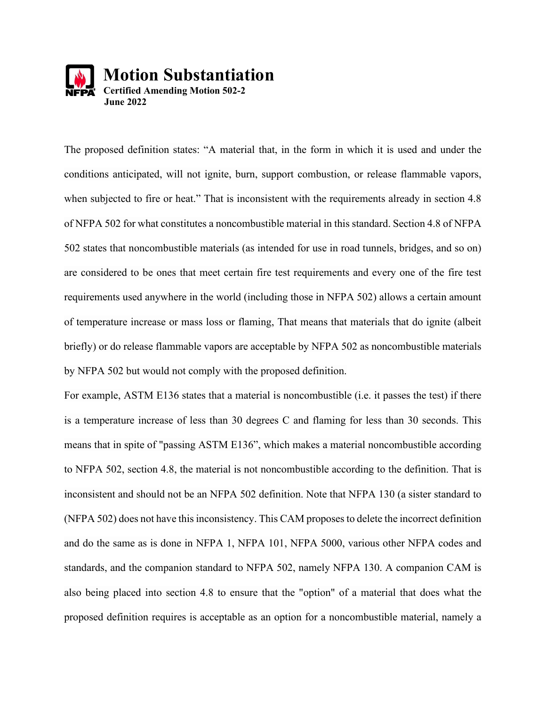

The proposed definition states: "A material that, in the form in which it is used and under the conditions anticipated, will not ignite, burn, support combustion, or release flammable vapors, when subjected to fire or heat." That is inconsistent with the requirements already in section 4.8 of NFPA 502 for what constitutes a noncombustible material in this standard. Section 4.8 of NFPA 502 states that noncombustible materials (as intended for use in road tunnels, bridges, and so on) are considered to be ones that meet certain fire test requirements and every one of the fire test requirements used anywhere in the world (including those in NFPA 502) allows a certain amount of temperature increase or mass loss or flaming, That means that materials that do ignite (albeit briefly) or do release flammable vapors are acceptable by NFPA 502 as noncombustible materials by NFPA 502 but would not comply with the proposed definition.

For example, ASTM E136 states that a material is noncombustible (i.e. it passes the test) if there is a temperature increase of less than 30 degrees C and flaming for less than 30 seconds. This means that in spite of "passing ASTM E136", which makes a material noncombustible according to NFPA 502, section 4.8, the material is not noncombustible according to the definition. That is inconsistent and should not be an NFPA 502 definition. Note that NFPA 130 (a sister standard to (NFPA 502) does not have this inconsistency. This CAM proposes to delete the incorrect definition and do the same as is done in NFPA 1, NFPA 101, NFPA 5000, various other NFPA codes and standards, and the companion standard to NFPA 502, namely NFPA 130. A companion CAM is also being placed into section 4.8 to ensure that the "option" of a material that does what the proposed definition requires is acceptable as an option for a noncombustible material, namely a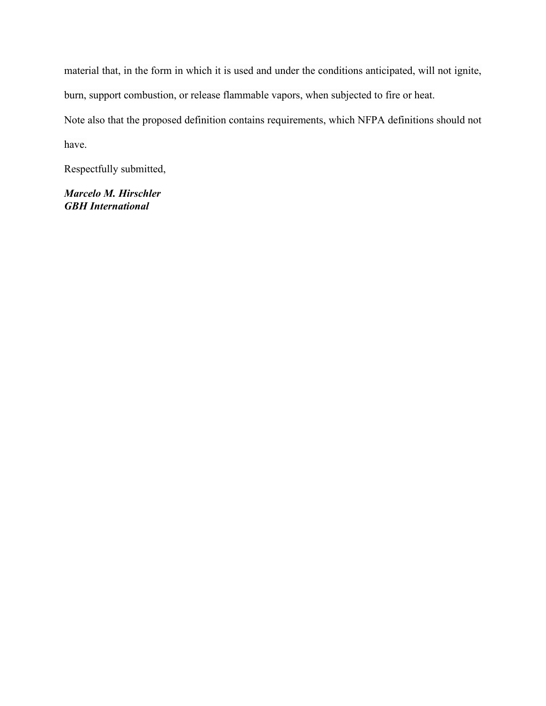material that, in the form in which it is used and under the conditions anticipated, will not ignite, burn, support combustion, or release flammable vapors, when subjected to fire or heat. Note also that the proposed definition contains requirements, which NFPA definitions should not have.

Respectfully submitted,

*Marcelo M. Hirschler GBH International*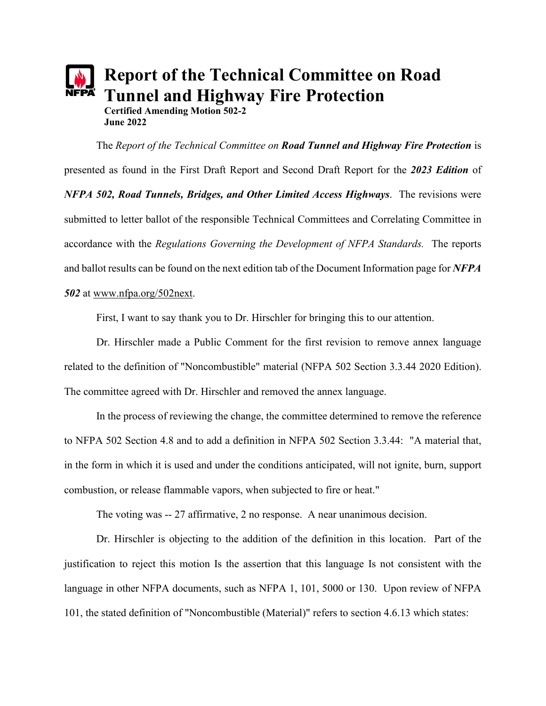# **Report of the Technical Committee on Road Tunnel and Highway Fire Protection Certified Amending Motion 502-2 June 2022**

The *Report of the Technical Committee on Road Tunnel and Highway Fire Protection* is presented as found in the First Draft Report and Second Draft Report for the *2023 Edition* of *NFPA 502, Road Tunnels, Bridges, and Other Limited Access Highways*. The revisions were submitted to letter ballot of the responsible Technical Committees and Correlating Committee in accordance with the *Regulations Governing the Development of NFPA Standards.* The reports and ballot results can be found on the next edition tab of the Document Information page for *NFPA 502* at [www.nfpa.org/502next.](http://www.nfpa.org/502next)

First, I want to say thank you to Dr. Hirschler for bringing this to our attention.

Dr. Hirschler made a Public Comment for the first revision to remove annex language related to the definition of "Noncombustible" material (NFPA 502 Section 3.3.44 2020 Edition). The committee agreed with Dr. Hirschler and removed the annex language.

In the process of reviewing the change, the committee determined to remove the reference to NFPA 502 Section 4.8 and to add a definition in NFPA 502 Section 3.3.44: "A material that, in the form in which it is used and under the conditions anticipated, will not ignite, burn, support combustion, or release flammable vapors, when subjected to fire or heat."

The voting was -- 27 affirmative, 2 no response. A near unanimous decision.

Dr. Hirschler is objecting to the addition of the definition in this location. Part of the justification to reject this motion Is the assertion that this language Is not consistent with the language in other NFPA documents, such as NFPA 1, 101, 5000 or 130. Upon review of NFPA 101, the stated definition of "Noncombustible (Material)" refers to section 4.6.13 which states: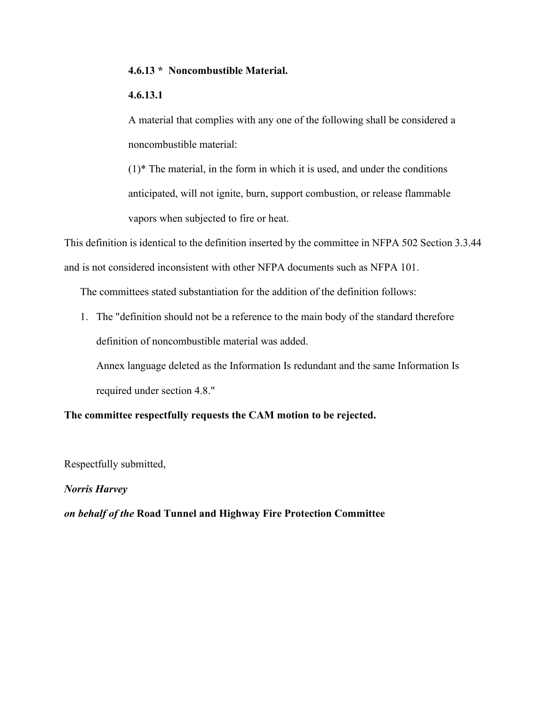### **4.6.13 [\\*](https://codesonline.nfpa.org/code/0a98c4ad-a1c9-4baa-ac3f-d2df744d9f92/863f6fd6-6bf4-40f5-a814-30348e2f091b/np_cb6529af-3799-11ea-8dbd-27598ef85f67.html#ID001010013117) Noncombustible Material.**

### **4.6.13.1**

A material that complies with any one of the following shall be considered a noncombustible material:

 $(1)$ <sup>\*</sup> The material, in the form in which it is used, and under the conditions anticipated, will not ignite, burn, support combustion, or release flammable vapors when subjected to fire or heat.

This definition is identical to the definition inserted by the committee in NFPA 502 Section 3.3.44 and is not considered inconsistent with other NFPA documents such as NFPA 101.

The committees stated substantiation for the addition of the definition follows:

1. The "definition should not be a reference to the main body of the standard therefore definition of noncombustible material was added.

Annex language deleted as the Information Is redundant and the same Information Is required under section 4.8."

### **The committee respectfully requests the CAM motion to be rejected.**

Respectfully submitted,

### *Norris Harvey*

*on behalf of the* **Road Tunnel and Highway Fire Protection Committee**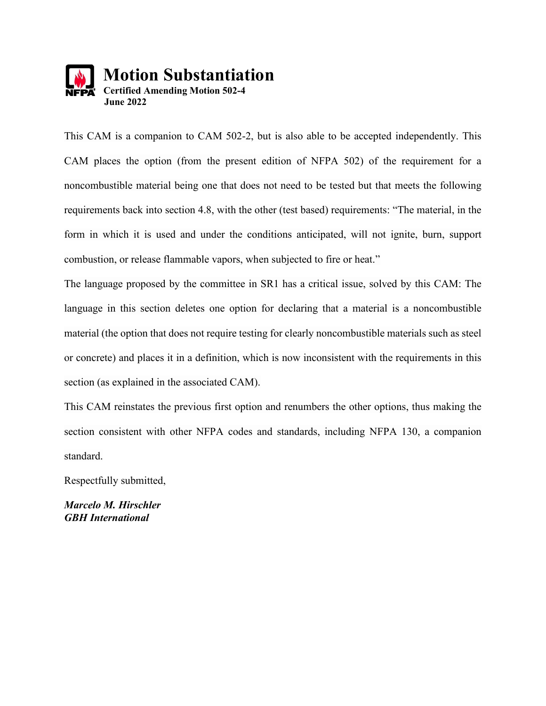

This CAM is a companion to CAM 502-2, but is also able to be accepted independently. This CAM places the option (from the present edition of NFPA 502) of the requirement for a noncombustible material being one that does not need to be tested but that meets the following requirements back into section 4.8, with the other (test based) requirements: "The material, in the form in which it is used and under the conditions anticipated, will not ignite, burn, support combustion, or release flammable vapors, when subjected to fire or heat."

The language proposed by the committee in SR1 has a critical issue, solved by this CAM: The language in this section deletes one option for declaring that a material is a noncombustible material (the option that does not require testing for clearly noncombustible materials such as steel or concrete) and places it in a definition, which is now inconsistent with the requirements in this section (as explained in the associated CAM).

This CAM reinstates the previous first option and renumbers the other options, thus making the section consistent with other NFPA codes and standards, including NFPA 130, a companion standard.

Respectfully submitted,

*Marcelo M. Hirschler GBH International*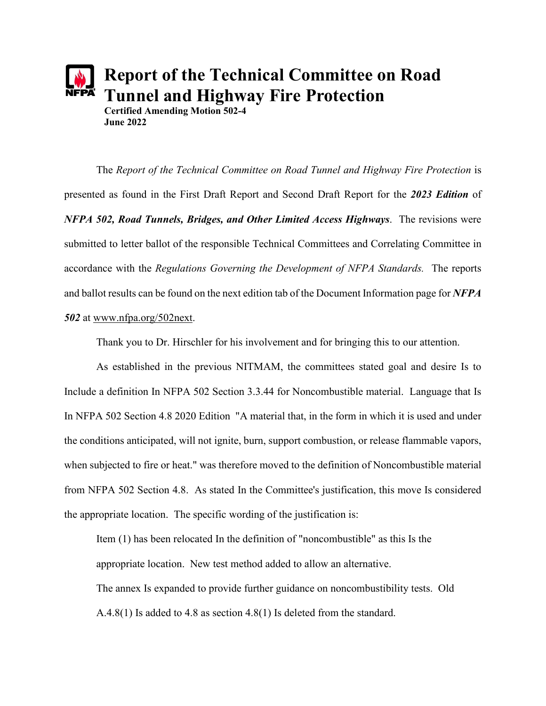

The *Report of the Technical Committee on Road Tunnel and Highway Fire Protection* is presented as found in the First Draft Report and Second Draft Report for the *2023 Edition* of *NFPA 502, Road Tunnels, Bridges, and Other Limited Access Highways*. The revisions were submitted to letter ballot of the responsible Technical Committees and Correlating Committee in accordance with the *Regulations Governing the Development of NFPA Standards.* The reports and ballot results can be found on the next edition tab of the Document Information page for *NFPA 502* at [www.nfpa.org/502next.](http://www.nfpa.org/502next)

Thank you to Dr. Hirschler for his involvement and for bringing this to our attention.

As established in the previous NITMAM, the committees stated goal and desire Is to Include a definition In NFPA 502 Section 3.3.44 for Noncombustible material. Language that Is In NFPA 502 Section 4.8 2020 Edition "A material that, in the form in which it is used and under the conditions anticipated, will not ignite, burn, support combustion, or release flammable vapors, when subjected to fire or heat." was therefore moved to the definition of Noncombustible material from NFPA 502 Section 4.8. As stated In the Committee's justification, this move Is considered the appropriate location. The specific wording of the justification is:

Item (1) has been relocated In the definition of "noncombustible" as this Is the appropriate location. New test method added to allow an alternative. The annex Is expanded to provide further guidance on noncombustibility tests. Old A.4.8(1) Is added to 4.8 as section 4.8(1) Is deleted from the standard.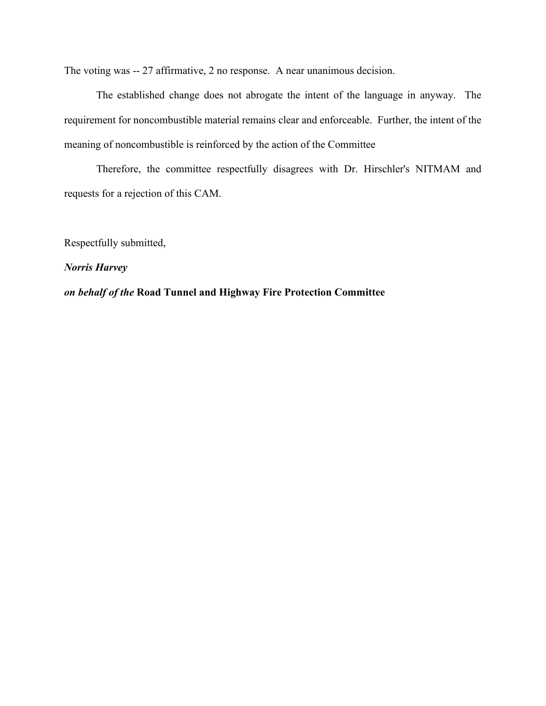The voting was -- 27 affirmative, 2 no response. A near unanimous decision.

The established change does not abrogate the intent of the language in anyway. The requirement for noncombustible material remains clear and enforceable. Further, the intent of the meaning of noncombustible is reinforced by the action of the Committee

Therefore, the committee respectfully disagrees with Dr. Hirschler's NITMAM and requests for a rejection of this CAM.

Respectfully submitted,

### *Norris Harvey*

*on behalf of the* **Road Tunnel and Highway Fire Protection Committee**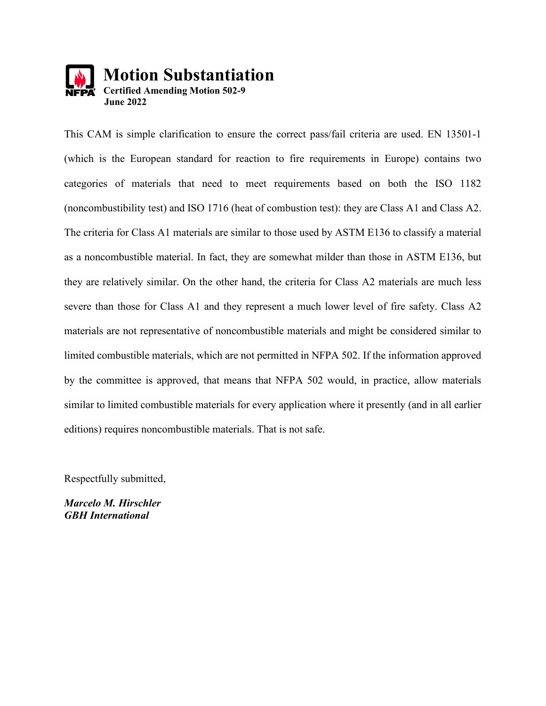

This CAM is simple clarification to ensure the correct pass/fail criteria are used. EN 13501-1 (which is the European standard for reaction to fire requirements in Europe) contains two categories of materials that need to meet requirements based on both the ISO 1182 (noncombustibility test) and ISO 1716 (heat of combustion test): they are Class A1 and Class A2. The criteria for Class A1 materials are similar to those used by ASTM E136 to classify a material as a noncombustible material. In fact, they are somewhat milder than those in ASTM E136, but they are relatively similar. On the other hand, the criteria for Class A2 materials are much less severe than those for Class A1 and they represent a much lower level of fire safety. Class A2 materials are not representative of noncombustible materials and might be considered similar to limited combustible materials, which are not permitted in NFPA 502. If the information approved by the committee is approved, that means that NFPA 502 would, in practice, allow materials similar to limited combustible materials for every application where it presently (and in all earlier editions) requires noncombustible materials. That is not safe.

Respectfully submitted,

*Marcelo M. Hirschler GBH International*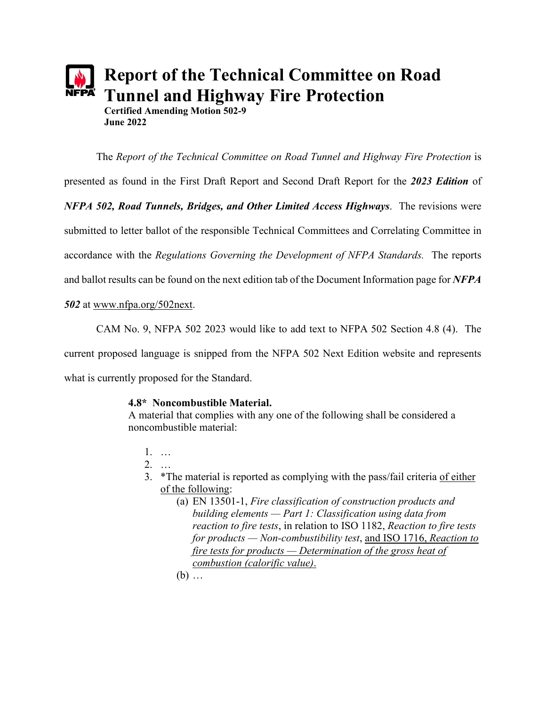

The *Report of the Technical Committee on Road Tunnel and Highway Fire Protection* is presented as found in the First Draft Report and Second Draft Report for the *2023 Edition* of *NFPA 502, Road Tunnels, Bridges, and Other Limited Access Highways*. The revisions were submitted to letter ballot of the responsible Technical Committees and Correlating Committee in accordance with the *Regulations Governing the Development of NFPA Standards.* The reports and ballot results can be found on the next edition tab of the Document Information page for *NFPA* 

*502* at [www.nfpa.org/502next.](http://www.nfpa.org/502next)

CAM No. 9, NFPA 502 2023 would like to add text to NFPA 502 Section 4.8 (4). The

current proposed language is snipped from the NFPA 502 Next Edition website and represents

what is currently proposed for the Standard.

# **4.8\* Noncombustible Material.**

A material that complies with any one of the following shall be considered a noncombustible material:

1. …

2. …

- 3. \*The material is reported as complying with the pass/fail criteria of either of the following:
	- (a) EN 13501-1, *Fire classification of construction products and building elements — Part 1: Classification using data from reaction to fire tests*, in relation to ISO 1182, *Reaction to fire tests for products — Non-combustibility test*, and ISO 1716, *Reaction to fire tests for products — Determination of the gross heat of combustion (calorific value)*.

(b) …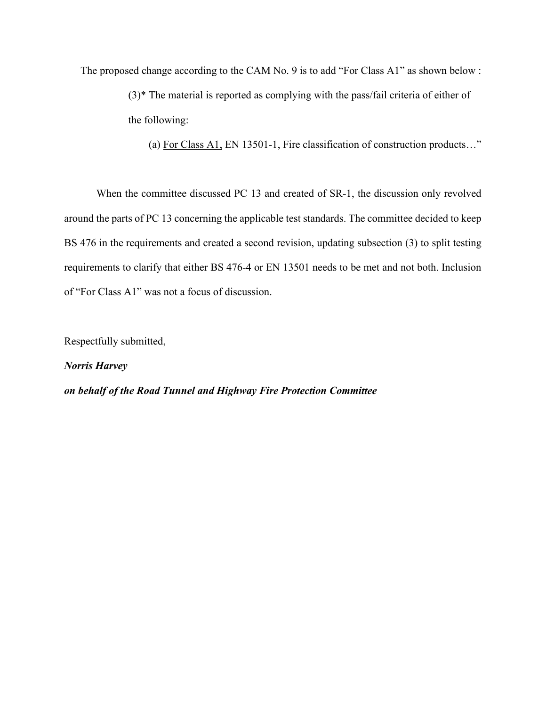The proposed change according to the CAM No. 9 is to add "For Class A1" as shown below :

(3)\* The material is reported as complying with the pass/fail criteria of either of the following:

(a) For Class A1, EN 13501-1, Fire classification of construction products…"

When the committee discussed PC 13 and created of SR-1, the discussion only revolved around the parts of PC 13 concerning the applicable test standards. The committee decided to keep BS 476 in the requirements and created a second revision, updating subsection (3) to split testing requirements to clarify that either BS 476-4 or EN 13501 needs to be met and not both. Inclusion of "For Class A1" was not a focus of discussion.

Respectfully submitted,

*Norris Harvey*

*on behalf of the Road Tunnel and Highway Fire Protection Committee*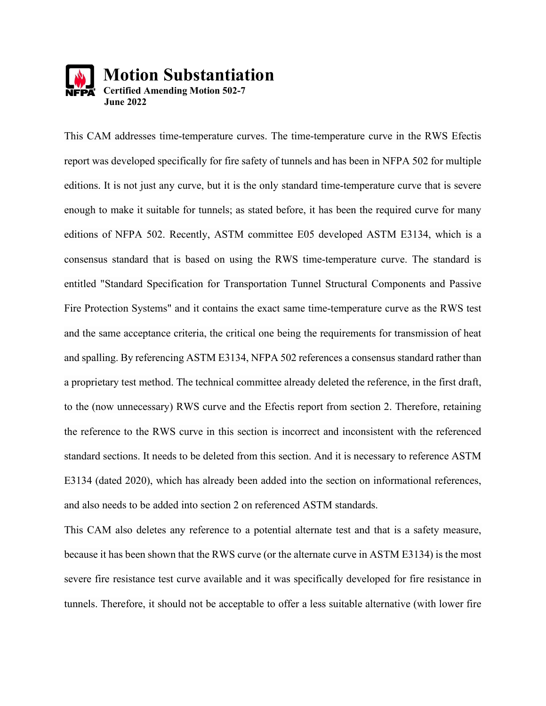

This CAM addresses time-temperature curves. The time-temperature curve in the RWS Efectis report was developed specifically for fire safety of tunnels and has been in NFPA 502 for multiple editions. It is not just any curve, but it is the only standard time-temperature curve that is severe enough to make it suitable for tunnels; as stated before, it has been the required curve for many editions of NFPA 502. Recently, ASTM committee E05 developed ASTM E3134, which is a consensus standard that is based on using the RWS time-temperature curve. The standard is entitled "Standard Specification for Transportation Tunnel Structural Components and Passive Fire Protection Systems" and it contains the exact same time-temperature curve as the RWS test and the same acceptance criteria, the critical one being the requirements for transmission of heat and spalling. By referencing ASTM E3134, NFPA 502 references a consensus standard rather than a proprietary test method. The technical committee already deleted the reference, in the first draft, to the (now unnecessary) RWS curve and the Efectis report from section 2. Therefore, retaining the reference to the RWS curve in this section is incorrect and inconsistent with the referenced standard sections. It needs to be deleted from this section. And it is necessary to reference ASTM E3134 (dated 2020), which has already been added into the section on informational references, and also needs to be added into section 2 on referenced ASTM standards.

This CAM also deletes any reference to a potential alternate test and that is a safety measure, because it has been shown that the RWS curve (or the alternate curve in ASTM E3134) is the most severe fire resistance test curve available and it was specifically developed for fire resistance in tunnels. Therefore, it should not be acceptable to offer a less suitable alternative (with lower fire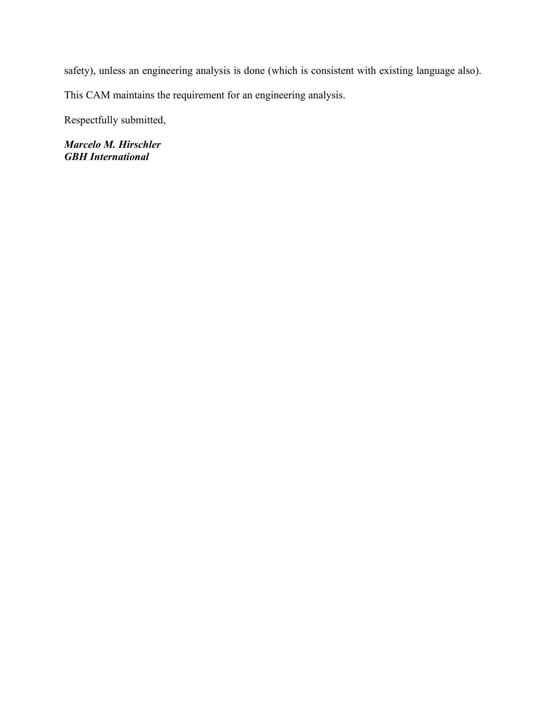safety), unless an engineering analysis is done (which is consistent with existing language also).

This CAM maintains the requirement for an engineering analysis.

Respectfully submitted,

*Marcelo M. Hirschler GBH International*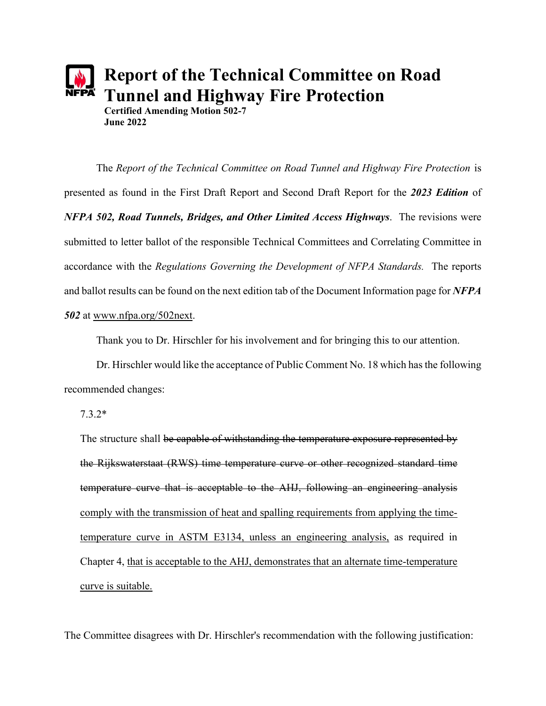

The *Report of the Technical Committee on Road Tunnel and Highway Fire Protection* is presented as found in the First Draft Report and Second Draft Report for the *2023 Edition* of *NFPA 502, Road Tunnels, Bridges, and Other Limited Access Highways*. The revisions were submitted to letter ballot of the responsible Technical Committees and Correlating Committee in accordance with the *Regulations Governing the Development of NFPA Standards.* The reports and ballot results can be found on the next edition tab of the Document Information page for *NFPA 502* at [www.nfpa.org/502next.](http://www.nfpa.org/502next)

Thank you to Dr. Hirschler for his involvement and for bringing this to our attention.

Dr. Hirschler would like the acceptance of Public Comment No. 18 which has the following recommended changes:

7.3.2\*

The structure shall be capable of withstanding the temperature exposure represented by the Rijkswaterstaat (RWS) time temperature curve or other recognized standard time temperature curve that is acceptable to the AHJ, following an engineering analysis comply with the transmission of heat and spalling requirements from applying the timetemperature curve in ASTM E3134, unless an engineering analysis, as required in Chapter 4, that is acceptable to the AHJ, demonstrates that an alternate time-temperature curve is suitable.

The Committee disagrees with Dr. Hirschler's recommendation with the following justification: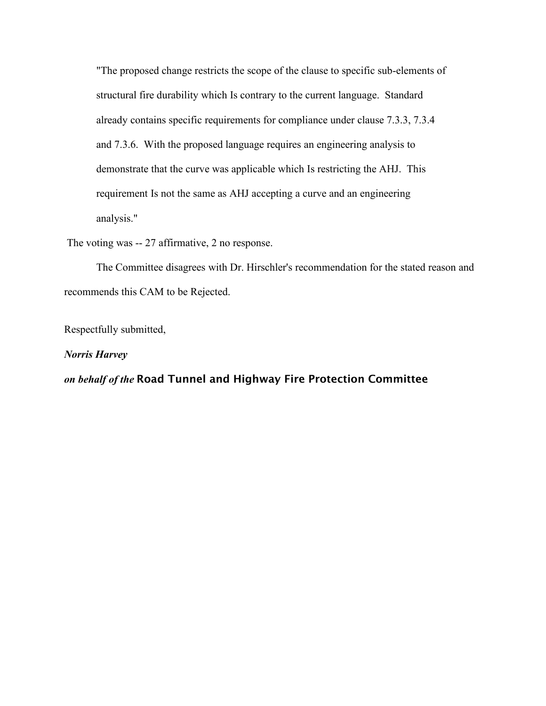"The proposed change restricts the scope of the clause to specific sub-elements of structural fire durability which Is contrary to the current language. Standard already contains specific requirements for compliance under clause 7.3.3, 7.3.4 and 7.3.6. With the proposed language requires an engineering analysis to demonstrate that the curve was applicable which Is restricting the AHJ. This requirement Is not the same as AHJ accepting a curve and an engineering analysis."

The voting was -- 27 affirmative, 2 no response.

The Committee disagrees with Dr. Hirschler's recommendation for the stated reason and recommends this CAM to be Rejected.

Respectfully submitted,

*Norris Harvey*

*on behalf of the* Road Tunnel and Highway Fire Protection Committee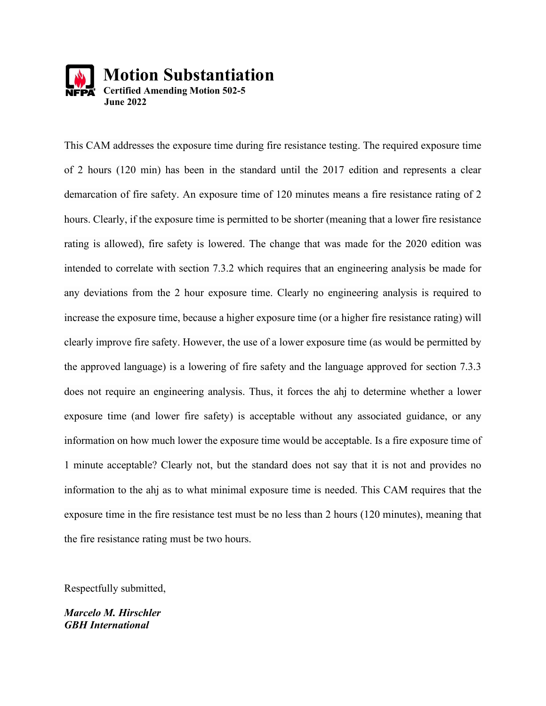

This CAM addresses the exposure time during fire resistance testing. The required exposure time of 2 hours (120 min) has been in the standard until the 2017 edition and represents a clear demarcation of fire safety. An exposure time of 120 minutes means a fire resistance rating of 2 hours. Clearly, if the exposure time is permitted to be shorter (meaning that a lower fire resistance rating is allowed), fire safety is lowered. The change that was made for the 2020 edition was intended to correlate with section 7.3.2 which requires that an engineering analysis be made for any deviations from the 2 hour exposure time. Clearly no engineering analysis is required to increase the exposure time, because a higher exposure time (or a higher fire resistance rating) will clearly improve fire safety. However, the use of a lower exposure time (as would be permitted by the approved language) is a lowering of fire safety and the language approved for section 7.3.3 does not require an engineering analysis. Thus, it forces the ahj to determine whether a lower exposure time (and lower fire safety) is acceptable without any associated guidance, or any information on how much lower the exposure time would be acceptable. Is a fire exposure time of 1 minute acceptable? Clearly not, but the standard does not say that it is not and provides no information to the ahj as to what minimal exposure time is needed. This CAM requires that the exposure time in the fire resistance test must be no less than 2 hours (120 minutes), meaning that the fire resistance rating must be two hours.

Respectfully submitted,

*Marcelo M. Hirschler GBH International*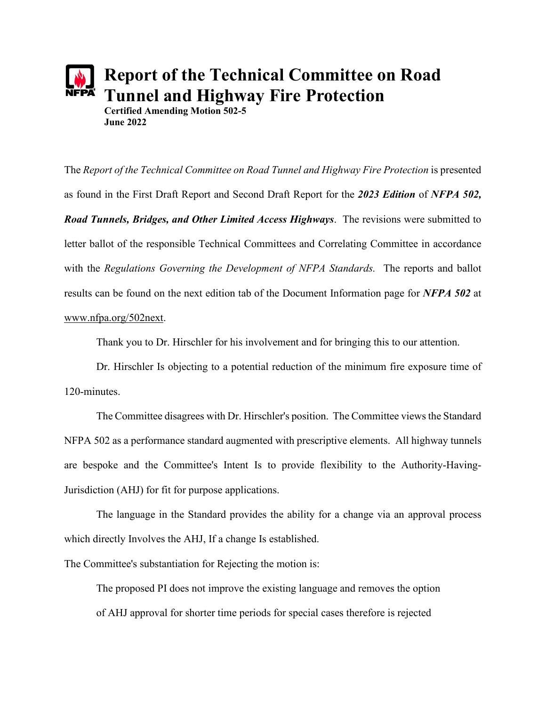# **Report of the Technical Committee on Road Tunnel and Highway Fire Protection Certified Amending Motion 502-5 June 2022**

The *Report of the Technical Committee on Road Tunnel and Highway Fire Protection* is presented as found in the First Draft Report and Second Draft Report for the *2023 Edition* of *NFPA 502, Road Tunnels, Bridges, and Other Limited Access Highways*. The revisions were submitted to letter ballot of the responsible Technical Committees and Correlating Committee in accordance with the *Regulations Governing the Development of NFPA Standards.* The reports and ballot results can be found on the next edition tab of the Document Information page for *NFPA 502* at [www.nfpa.org/502next.](http://www.nfpa.org/502next)

Thank you to Dr. Hirschler for his involvement and for bringing this to our attention.

Dr. Hirschler Is objecting to a potential reduction of the minimum fire exposure time of 120-minutes.

The Committee disagrees with Dr. Hirschler's position. The Committee views the Standard NFPA 502 as a performance standard augmented with prescriptive elements. All highway tunnels are bespoke and the Committee's Intent Is to provide flexibility to the Authority-Having-Jurisdiction (AHJ) for fit for purpose applications.

The language in the Standard provides the ability for a change via an approval process which directly Involves the AHJ, If a change Is established.

The Committee's substantiation for Rejecting the motion is:

The proposed PI does not improve the existing language and removes the option of AHJ approval for shorter time periods for special cases therefore is rejected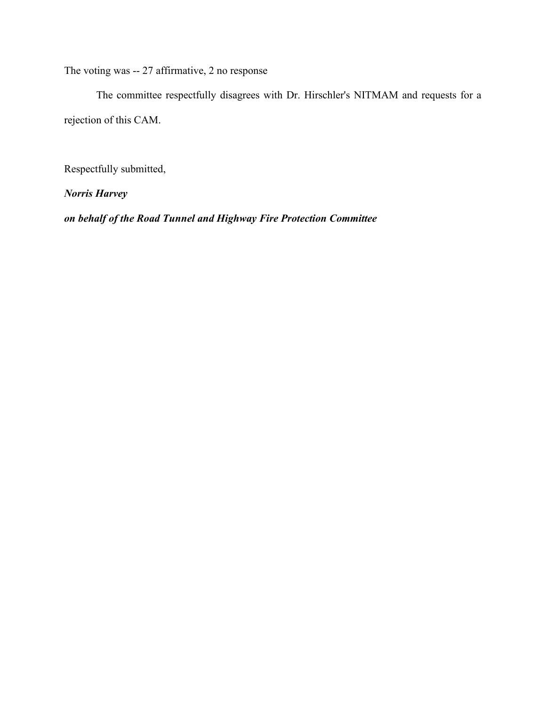The voting was -- 27 affirmative, 2 no response

The committee respectfully disagrees with Dr. Hirschler's NITMAM and requests for a rejection of this CAM.

Respectfully submitted,

*Norris Harvey*

*on behalf of the Road Tunnel and Highway Fire Protection Committee*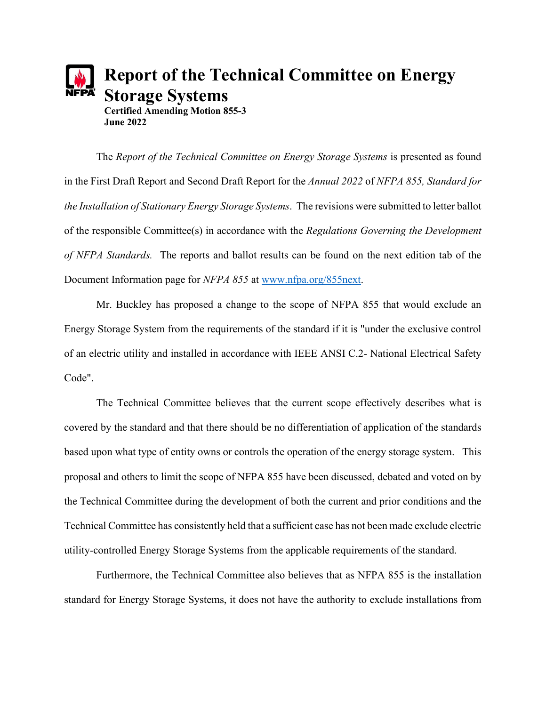

The *Report of the Technical Committee on Energy Storage Systems* is presented as found in the First Draft Report and Second Draft Report for the *Annual 2022* of *NFPA 855, Standard for the Installation of Stationary Energy Storage Systems*. The revisions were submitted to letter ballot of the responsible Committee(s) in accordance with the *Regulations Governing the Development of NFPA Standards.* The reports and ballot results can be found on the next edition tab of the Document Information page for *NFPA 855* at [www.nfpa.org/855next.](http://www.nfpa.org/855next)

Mr. Buckley has proposed a change to the scope of NFPA 855 that would exclude an Energy Storage System from the requirements of the standard if it is "under the exclusive control of an electric utility and installed in accordance with IEEE ANSI C.2- National Electrical Safety Code".

The Technical Committee believes that the current scope effectively describes what is covered by the standard and that there should be no differentiation of application of the standards based upon what type of entity owns or controls the operation of the energy storage system. This proposal and others to limit the scope of NFPA 855 have been discussed, debated and voted on by the Technical Committee during the development of both the current and prior conditions and the Technical Committee has consistently held that a sufficient case has not been made exclude electric utility-controlled Energy Storage Systems from the applicable requirements of the standard.

Furthermore, the Technical Committee also believes that as NFPA 855 is the installation standard for Energy Storage Systems, it does not have the authority to exclude installations from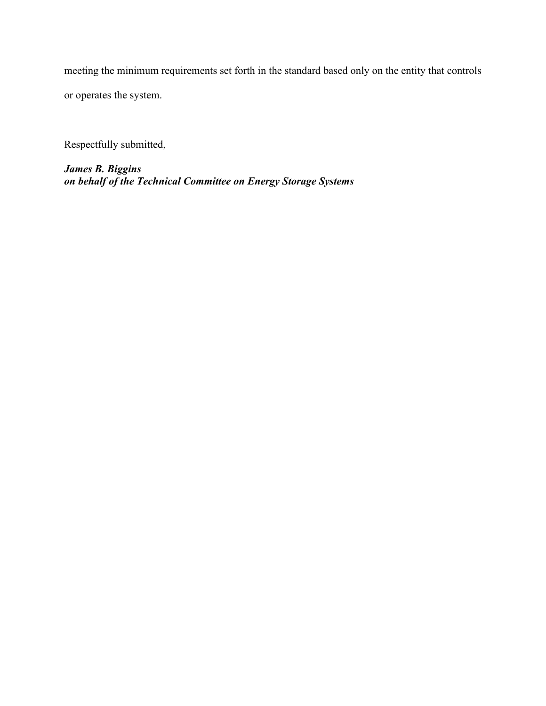meeting the minimum requirements set forth in the standard based only on the entity that controls or operates the system.

Respectfully submitted,

*James B. Biggins on behalf of the Technical Committee on Energy Storage Systems*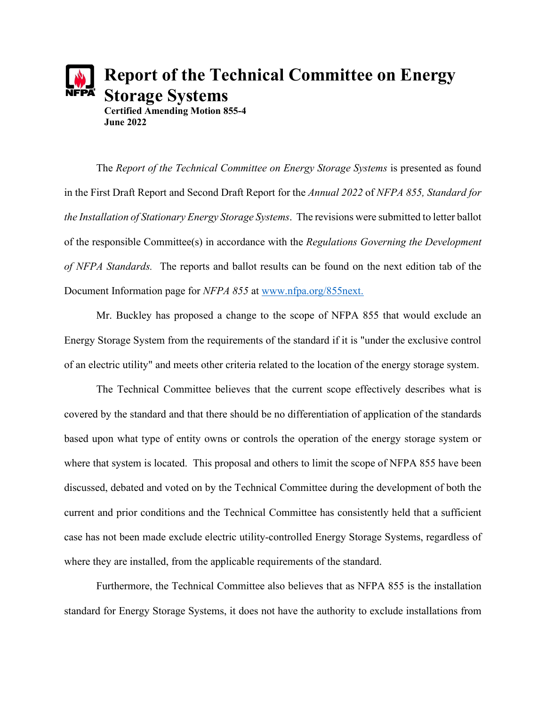

The *Report of the Technical Committee on Energy Storage Systems* is presented as found in the First Draft Report and Second Draft Report for the *Annual 2022* of *NFPA 855, Standard for the Installation of Stationary Energy Storage Systems*. The revisions were submitted to letter ballot of the responsible Committee(s) in accordance with the *Regulations Governing the Development of NFPA Standards.* The reports and ballot results can be found on the next edition tab of the Document Information page for *NFPA 855* at [www.nfpa.org/855next.](http://www.nfpa.org/855next)

Mr. Buckley has proposed a change to the scope of NFPA 855 that would exclude an Energy Storage System from the requirements of the standard if it is "under the exclusive control of an electric utility" and meets other criteria related to the location of the energy storage system.

The Technical Committee believes that the current scope effectively describes what is covered by the standard and that there should be no differentiation of application of the standards based upon what type of entity owns or controls the operation of the energy storage system or where that system is located. This proposal and others to limit the scope of NFPA 855 have been discussed, debated and voted on by the Technical Committee during the development of both the current and prior conditions and the Technical Committee has consistently held that a sufficient case has not been made exclude electric utility-controlled Energy Storage Systems, regardless of where they are installed, from the applicable requirements of the standard.

Furthermore, the Technical Committee also believes that as NFPA 855 is the installation standard for Energy Storage Systems, it does not have the authority to exclude installations from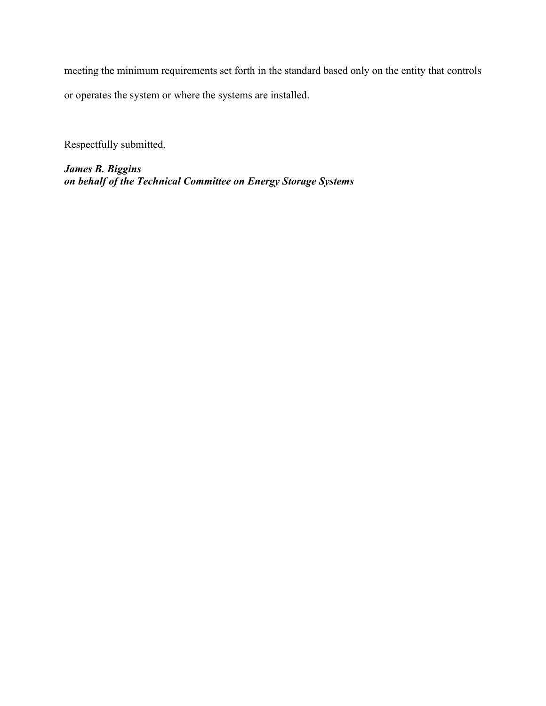meeting the minimum requirements set forth in the standard based only on the entity that controls or operates the system or where the systems are installed.

Respectfully submitted,

*James B. Biggins on behalf of the Technical Committee on Energy Storage Systems*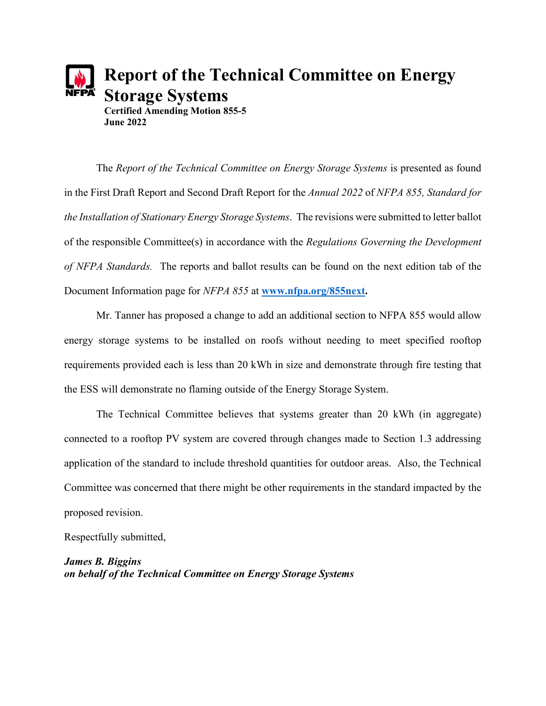

The *Report of the Technical Committee on Energy Storage Systems* is presented as found in the First Draft Report and Second Draft Report for the *Annual 2022* of *NFPA 855, Standard for the Installation of Stationary Energy Storage Systems*. The revisions were submitted to letter ballot of the responsible Committee(s) in accordance with the *Regulations Governing the Development of NFPA Standards.* The reports and ballot results can be found on the next edition tab of the Document Information page for *NFPA 855* at **[www.nfpa.org/855next.](http://www.nfpa.org/855next)**

Mr. Tanner has proposed a change to add an additional section to NFPA 855 would allow energy storage systems to be installed on roofs without needing to meet specified rooftop requirements provided each is less than 20 kWh in size and demonstrate through fire testing that the ESS will demonstrate no flaming outside of the Energy Storage System.

The Technical Committee believes that systems greater than 20 kWh (in aggregate) connected to a rooftop PV system are covered through changes made to Section 1.3 addressing application of the standard to include threshold quantities for outdoor areas. Also, the Technical Committee was concerned that there might be other requirements in the standard impacted by the proposed revision.

Respectfully submitted,

*James B. Biggins on behalf of the Technical Committee on Energy Storage Systems*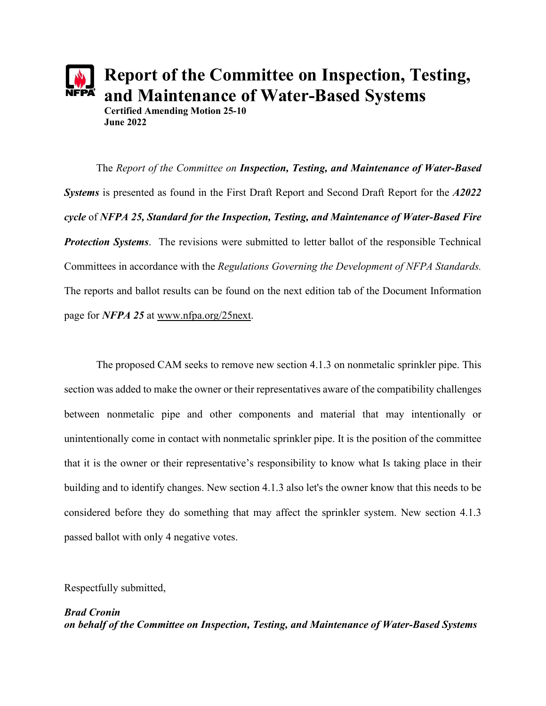

**Report of the Committee on Inspection, Testing, and Maintenance of Water-Based Systems**

**Certified Amending Motion 25-10 June 2022**

The *Report of the Committee on Inspection, Testing, and Maintenance of Water-Based Systems* is presented as found in the First Draft Report and Second Draft Report for the *A2022 cycle* of *NFPA 25, Standard for the Inspection, Testing, and Maintenance of Water-Based Fire Protection Systems*. The revisions were submitted to letter ballot of the responsible Technical Committees in accordance with the *Regulations Governing the Development of NFPA Standards.* The reports and ballot results can be found on the next edition tab of the Document Information page for *NFPA 25* at [www.nfpa.org/25next.](http://www.nfpa.org/25next)

The proposed CAM seeks to remove new section 4.1.3 on nonmetalic sprinkler pipe. This section was added to make the owner or their representatives aware of the compatibility challenges between nonmetalic pipe and other components and material that may intentionally or unintentionally come in contact with nonmetalic sprinkler pipe. It is the position of the committee that it is the owner or their representative's responsibility to know what Is taking place in their building and to identify changes. New section 4.1.3 also let's the owner know that this needs to be considered before they do something that may affect the sprinkler system. New section 4.1.3 passed ballot with only 4 negative votes.

Respectfully submitted,

*Brad Cronin on behalf of the Committee on Inspection, Testing, and Maintenance of Water-Based Systems*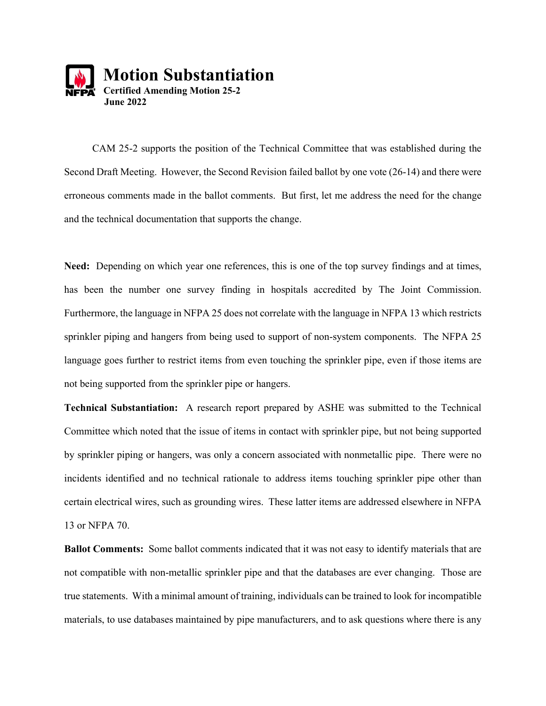

CAM 25-2 supports the position of the Technical Committee that was established during the Second Draft Meeting. However, the Second Revision failed ballot by one vote (26-14) and there were erroneous comments made in the ballot comments. But first, let me address the need for the change and the technical documentation that supports the change.

**Need:** Depending on which year one references, this is one of the top survey findings and at times, has been the number one survey finding in hospitals accredited by The Joint Commission. Furthermore, the language in NFPA 25 does not correlate with the language in NFPA 13 which restricts sprinkler piping and hangers from being used to support of non-system components. The NFPA 25 language goes further to restrict items from even touching the sprinkler pipe, even if those items are not being supported from the sprinkler pipe or hangers.

**Technical Substantiation:** A research report prepared by ASHE was submitted to the Technical Committee which noted that the issue of items in contact with sprinkler pipe, but not being supported by sprinkler piping or hangers, was only a concern associated with nonmetallic pipe. There were no incidents identified and no technical rationale to address items touching sprinkler pipe other than certain electrical wires, such as grounding wires. These latter items are addressed elsewhere in NFPA 13 or NFPA 70.

**Ballot Comments:** Some ballot comments indicated that it was not easy to identify materials that are not compatible with non-metallic sprinkler pipe and that the databases are ever changing. Those are true statements. With a minimal amount of training, individuals can be trained to look for incompatible materials, to use databases maintained by pipe manufacturers, and to ask questions where there is any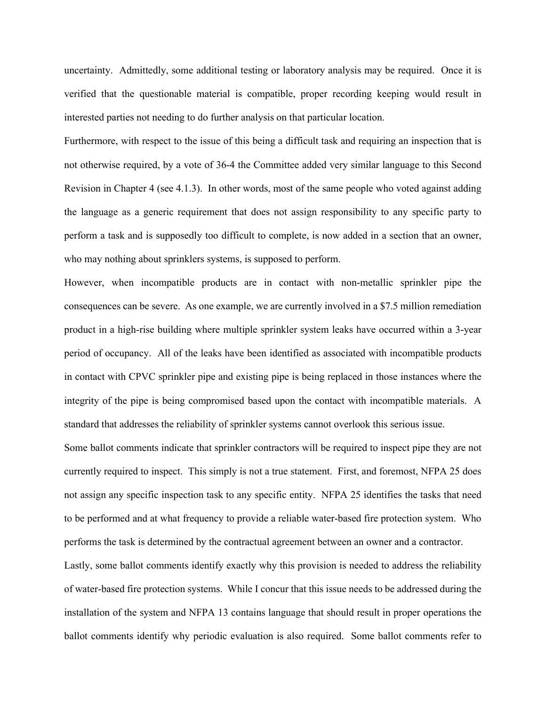uncertainty. Admittedly, some additional testing or laboratory analysis may be required. Once it is verified that the questionable material is compatible, proper recording keeping would result in interested parties not needing to do further analysis on that particular location.

Furthermore, with respect to the issue of this being a difficult task and requiring an inspection that is not otherwise required, by a vote of 36-4 the Committee added very similar language to this Second Revision in Chapter 4 (see 4.1.3). In other words, most of the same people who voted against adding the language as a generic requirement that does not assign responsibility to any specific party to perform a task and is supposedly too difficult to complete, is now added in a section that an owner, who may nothing about sprinklers systems, is supposed to perform.

However, when incompatible products are in contact with non-metallic sprinkler pipe the consequences can be severe. As one example, we are currently involved in a \$7.5 million remediation product in a high-rise building where multiple sprinkler system leaks have occurred within a 3-year period of occupancy. All of the leaks have been identified as associated with incompatible products in contact with CPVC sprinkler pipe and existing pipe is being replaced in those instances where the integrity of the pipe is being compromised based upon the contact with incompatible materials. A standard that addresses the reliability of sprinkler systems cannot overlook this serious issue.

Some ballot comments indicate that sprinkler contractors will be required to inspect pipe they are not currently required to inspect. This simply is not a true statement. First, and foremost, NFPA 25 does not assign any specific inspection task to any specific entity. NFPA 25 identifies the tasks that need to be performed and at what frequency to provide a reliable water-based fire protection system. Who performs the task is determined by the contractual agreement between an owner and a contractor. Lastly, some ballot comments identify exactly why this provision is needed to address the reliability

of water-based fire protection systems. While I concur that this issue needs to be addressed during the installation of the system and NFPA 13 contains language that should result in proper operations the ballot comments identify why periodic evaluation is also required. Some ballot comments refer to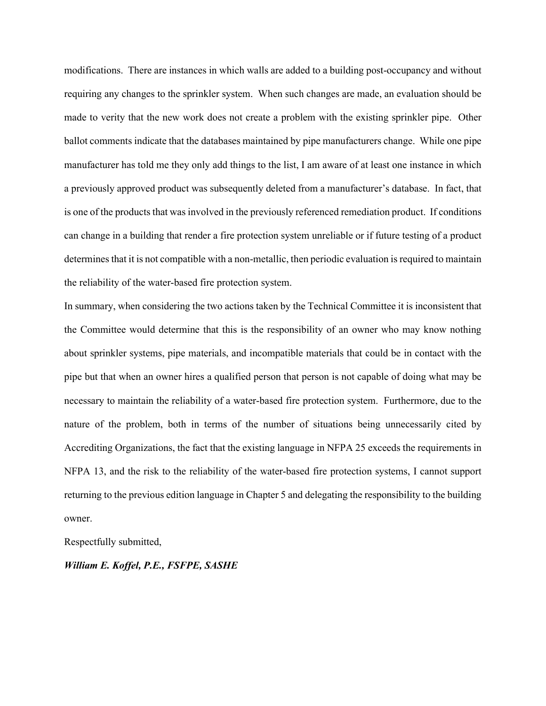modifications. There are instances in which walls are added to a building post-occupancy and without requiring any changes to the sprinkler system. When such changes are made, an evaluation should be made to verity that the new work does not create a problem with the existing sprinkler pipe. Other ballot comments indicate that the databases maintained by pipe manufacturers change. While one pipe manufacturer has told me they only add things to the list, I am aware of at least one instance in which a previously approved product was subsequently deleted from a manufacturer's database. In fact, that is one of the products that was involved in the previously referenced remediation product. If conditions can change in a building that render a fire protection system unreliable or if future testing of a product determines that it is not compatible with a non-metallic, then periodic evaluation is required to maintain the reliability of the water-based fire protection system.

In summary, when considering the two actions taken by the Technical Committee it is inconsistent that the Committee would determine that this is the responsibility of an owner who may know nothing about sprinkler systems, pipe materials, and incompatible materials that could be in contact with the pipe but that when an owner hires a qualified person that person is not capable of doing what may be necessary to maintain the reliability of a water-based fire protection system. Furthermore, due to the nature of the problem, both in terms of the number of situations being unnecessarily cited by Accrediting Organizations, the fact that the existing language in NFPA 25 exceeds the requirements in NFPA 13, and the risk to the reliability of the water-based fire protection systems, I cannot support returning to the previous edition language in Chapter 5 and delegating the responsibility to the building owner.

Respectfully submitted,

#### *William E. Koffel, P.E., FSFPE, SASHE*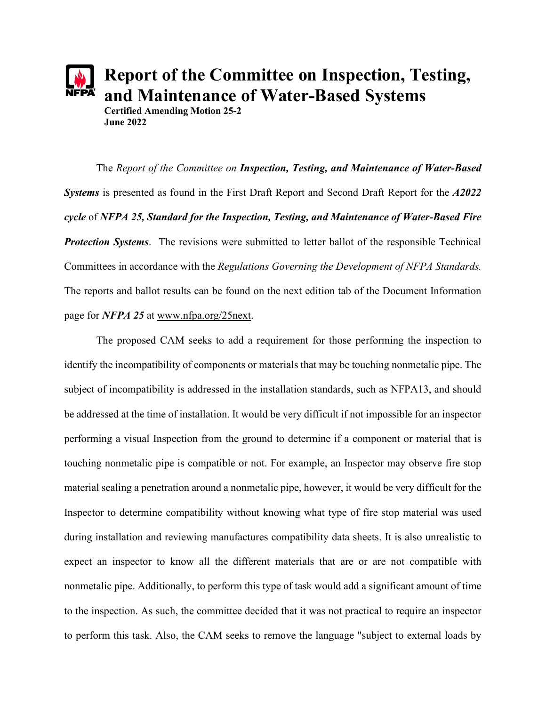

**Report of the Committee on Inspection, Testing, and Maintenance of Water-Based Systems**

**Certified Amending Motion 25-2 June 2022**

The *Report of the Committee on Inspection, Testing, and Maintenance of Water-Based Systems* is presented as found in the First Draft Report and Second Draft Report for the *A2022 cycle* of *NFPA 25, Standard for the Inspection, Testing, and Maintenance of Water-Based Fire Protection Systems*. The revisions were submitted to letter ballot of the responsible Technical Committees in accordance with the *Regulations Governing the Development of NFPA Standards.* The reports and ballot results can be found on the next edition tab of the Document Information page for *NFPA 25* at [www.nfpa.org/25next.](http://www.nfpa.org/25next)

The proposed CAM seeks to add a requirement for those performing the inspection to identify the incompatibility of components or materials that may be touching nonmetalic pipe. The subject of incompatibility is addressed in the installation standards, such as NFPA13, and should be addressed at the time of installation. It would be very difficult if not impossible for an inspector performing a visual Inspection from the ground to determine if a component or material that is touching nonmetalic pipe is compatible or not. For example, an Inspector may observe fire stop material sealing a penetration around a nonmetalic pipe, however, it would be very difficult for the Inspector to determine compatibility without knowing what type of fire stop material was used during installation and reviewing manufactures compatibility data sheets. It is also unrealistic to expect an inspector to know all the different materials that are or are not compatible with nonmetalic pipe. Additionally, to perform this type of task would add a significant amount of time to the inspection. As such, the committee decided that it was not practical to require an inspector to perform this task. Also, the CAM seeks to remove the language "subject to external loads by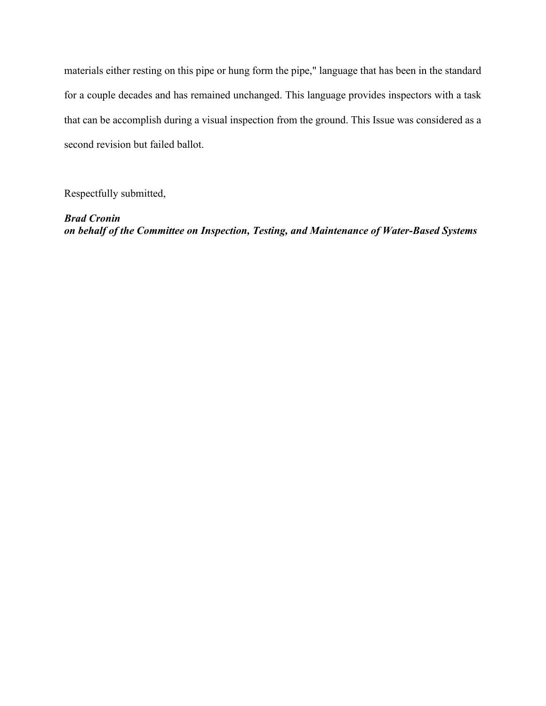materials either resting on this pipe or hung form the pipe," language that has been in the standard for a couple decades and has remained unchanged. This language provides inspectors with a task that can be accomplish during a visual inspection from the ground. This Issue was considered as a second revision but failed ballot.

Respectfully submitted,

*Brad Cronin on behalf of the Committee on Inspection, Testing, and Maintenance of Water-Based Systems*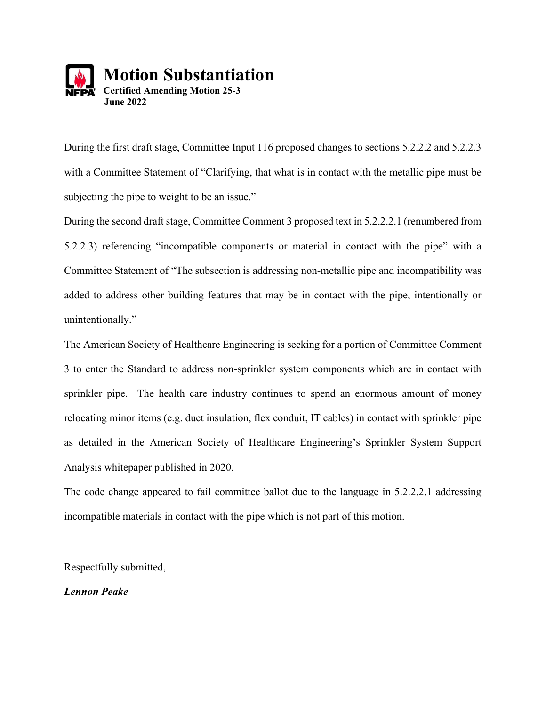

During the first draft stage, Committee Input 116 proposed changes to sections 5.2.2.2 and 5.2.2.3 with a Committee Statement of "Clarifying, that what is in contact with the metallic pipe must be subjecting the pipe to weight to be an issue."

During the second draft stage, Committee Comment 3 proposed text in 5.2.2.2.1 (renumbered from 5.2.2.3) referencing "incompatible components or material in contact with the pipe" with a Committee Statement of "The subsection is addressing non-metallic pipe and incompatibility was added to address other building features that may be in contact with the pipe, intentionally or unintentionally."

The American Society of Healthcare Engineering is seeking for a portion of Committee Comment 3 to enter the Standard to address non-sprinkler system components which are in contact with sprinkler pipe. The health care industry continues to spend an enormous amount of money relocating minor items (e.g. duct insulation, flex conduit, IT cables) in contact with sprinkler pipe as detailed in the American Society of Healthcare Engineering's Sprinkler System Support Analysis whitepaper published in 2020.

The code change appeared to fail committee ballot due to the language in 5.2.2.2.1 addressing incompatible materials in contact with the pipe which is not part of this motion.

Respectfully submitted,

*Lennon Peake*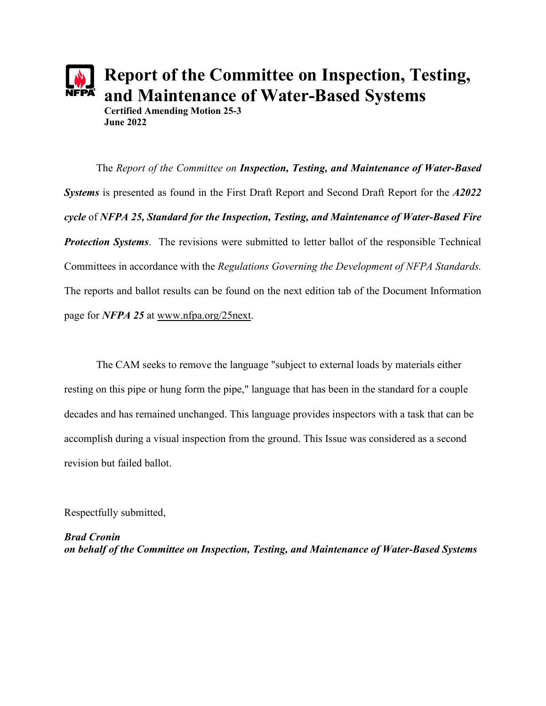

**Report of the Committee on Inspection, Testing, and Maintenance of Water-Based Systems**

**Certified Amending Motion 25-3 June 2022**

The *Report of the Committee on Inspection, Testing, and Maintenance of Water-Based Systems* is presented as found in the First Draft Report and Second Draft Report for the *A2022 cycle* of *NFPA 25, Standard for the Inspection, Testing, and Maintenance of Water-Based Fire Protection Systems*. The revisions were submitted to letter ballot of the responsible Technical Committees in accordance with the *Regulations Governing the Development of NFPA Standards.* The reports and ballot results can be found on the next edition tab of the Document Information page for *NFPA 25* at [www.nfpa.org/25next.](http://www.nfpa.org/25next)

The CAM seeks to remove the language "subject to external loads by materials either resting on this pipe or hung form the pipe," language that has been in the standard for a couple decades and has remained unchanged. This language provides inspectors with a task that can be accomplish during a visual inspection from the ground. This Issue was considered as a second revision but failed ballot.

Respectfully submitted,

*Brad Cronin on behalf of the Committee on Inspection, Testing, and Maintenance of Water-Based Systems*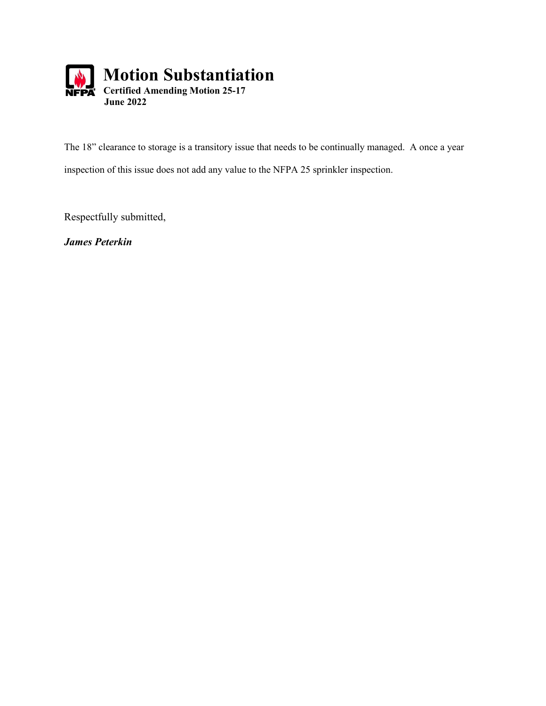

The 18" clearance to storage is a transitory issue that needs to be continually managed. A once a year inspection of this issue does not add any value to the NFPA 25 sprinkler inspection.

Respectfully submitted,

*James Peterkin*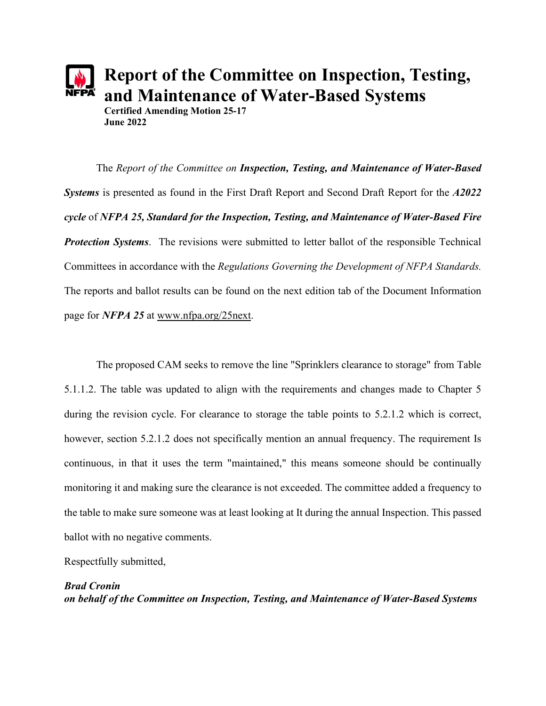

**Report of the Committee on Inspection, Testing, and Maintenance of Water-Based Systems**

**Certified Amending Motion 25-17 June 2022**

The *Report of the Committee on Inspection, Testing, and Maintenance of Water-Based Systems* is presented as found in the First Draft Report and Second Draft Report for the *A2022 cycle* of *NFPA 25, Standard for the Inspection, Testing, and Maintenance of Water-Based Fire Protection Systems*. The revisions were submitted to letter ballot of the responsible Technical Committees in accordance with the *Regulations Governing the Development of NFPA Standards.* The reports and ballot results can be found on the next edition tab of the Document Information page for *NFPA 25* at [www.nfpa.org/25next.](http://www.nfpa.org/25next)

The proposed CAM seeks to remove the line "Sprinklers clearance to storage" from Table 5.1.1.2. The table was updated to align with the requirements and changes made to Chapter 5 during the revision cycle. For clearance to storage the table points to 5.2.1.2 which is correct, however, section 5.2.1.2 does not specifically mention an annual frequency. The requirement Is continuous, in that it uses the term "maintained," this means someone should be continually monitoring it and making sure the clearance is not exceeded. The committee added a frequency to the table to make sure someone was at least looking at It during the annual Inspection. This passed ballot with no negative comments.

Respectfully submitted,

# *Brad Cronin on behalf of the Committee on Inspection, Testing, and Maintenance of Water-Based Systems*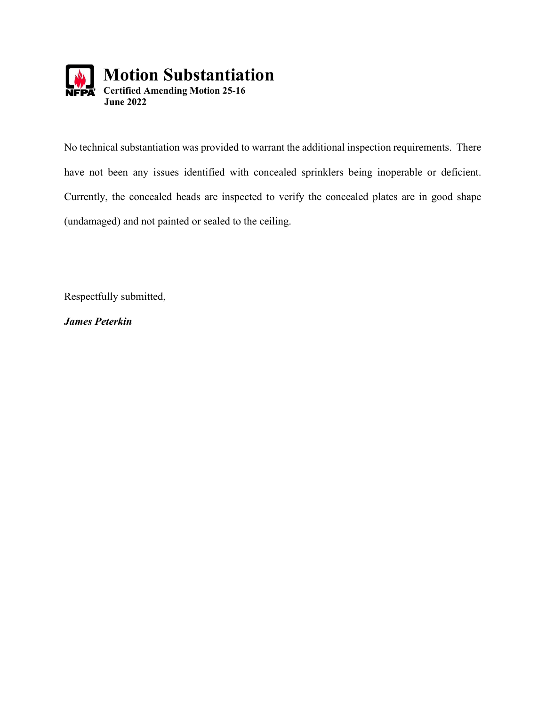

No technical substantiation was provided to warrant the additional inspection requirements. There have not been any issues identified with concealed sprinklers being inoperable or deficient. Currently, the concealed heads are inspected to verify the concealed plates are in good shape (undamaged) and not painted or sealed to the ceiling.

Respectfully submitted,

*James Peterkin*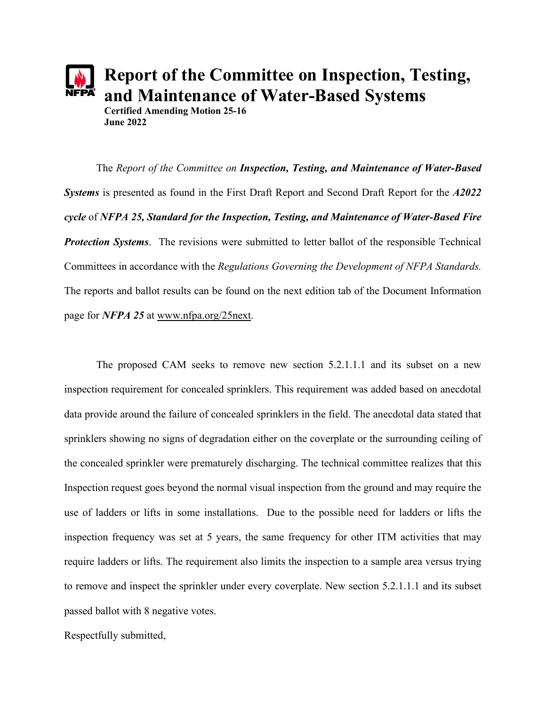

**Report of the Committee on Inspection, Testing, and Maintenance of Water-Based Systems**

**Certified Amending Motion 25-16 June 2022**

The *Report of the Committee on Inspection, Testing, and Maintenance of Water-Based Systems* is presented as found in the First Draft Report and Second Draft Report for the *A2022 cycle* of *NFPA 25, Standard for the Inspection, Testing, and Maintenance of Water-Based Fire Protection Systems*. The revisions were submitted to letter ballot of the responsible Technical Committees in accordance with the *Regulations Governing the Development of NFPA Standards.* The reports and ballot results can be found on the next edition tab of the Document Information page for *NFPA 25* at [www.nfpa.org/25next.](http://www.nfpa.org/25next)

The proposed CAM seeks to remove new section 5.2.1.1.1 and its subset on a new inspection requirement for concealed sprinklers. This requirement was added based on anecdotal data provide around the failure of concealed sprinklers in the field. The anecdotal data stated that sprinklers showing no signs of degradation either on the coverplate or the surrounding ceiling of the concealed sprinkler were prematurely discharging. The technical committee realizes that this Inspection request goes beyond the normal visual inspection from the ground and may require the use of ladders or lifts in some installations. Due to the possible need for ladders or lifts the inspection frequency was set at 5 years, the same frequency for other ITM activities that may require ladders or lifts. The requirement also limits the inspection to a sample area versus trying to remove and inspect the sprinkler under every coverplate. New section 5.2.1.1.1 and its subset passed ballot with 8 negative votes.

Respectfully submitted,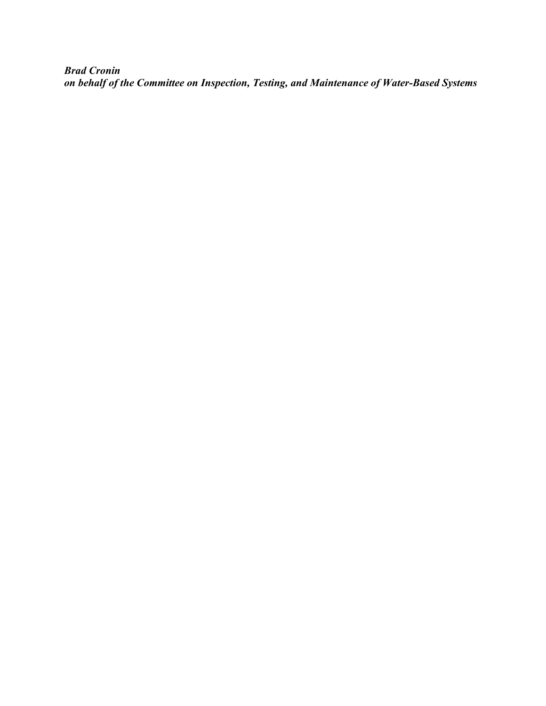*Brad Cronin on behalf of the Committee on Inspection, Testing, and Maintenance of Water-Based Systems*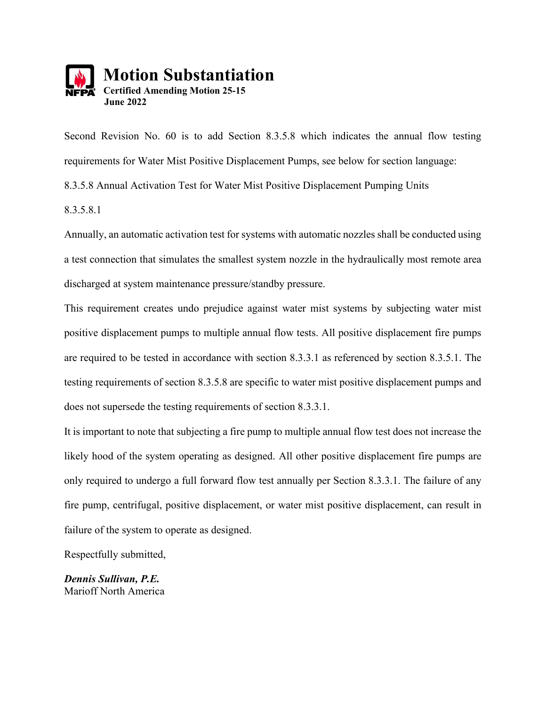

Second Revision No. 60 is to add Section 8.3.5.8 which indicates the annual flow testing requirements for Water Mist Positive Displacement Pumps, see below for section language: 8.3.5.8 Annual Activation Test for Water Mist Positive Displacement Pumping Units 8.3.5.8.1

Annually, an automatic activation test for systems with automatic nozzles shall be conducted using a test connection that simulates the smallest system nozzle in the hydraulically most remote area discharged at system maintenance pressure/standby pressure.

This requirement creates undo prejudice against water mist systems by subjecting water mist positive displacement pumps to multiple annual flow tests. All positive displacement fire pumps are required to be tested in accordance with section 8.3.3.1 as referenced by section 8.3.5.1. The testing requirements of section 8.3.5.8 are specific to water mist positive displacement pumps and does not supersede the testing requirements of section 8.3.3.1.

It is important to note that subjecting a fire pump to multiple annual flow test does not increase the likely hood of the system operating as designed. All other positive displacement fire pumps are only required to undergo a full forward flow test annually per Section 8.3.3.1. The failure of any fire pump, centrifugal, positive displacement, or water mist positive displacement, can result in failure of the system to operate as designed.

Respectfully submitted,

*Dennis Sullivan, P.E.* Marioff North America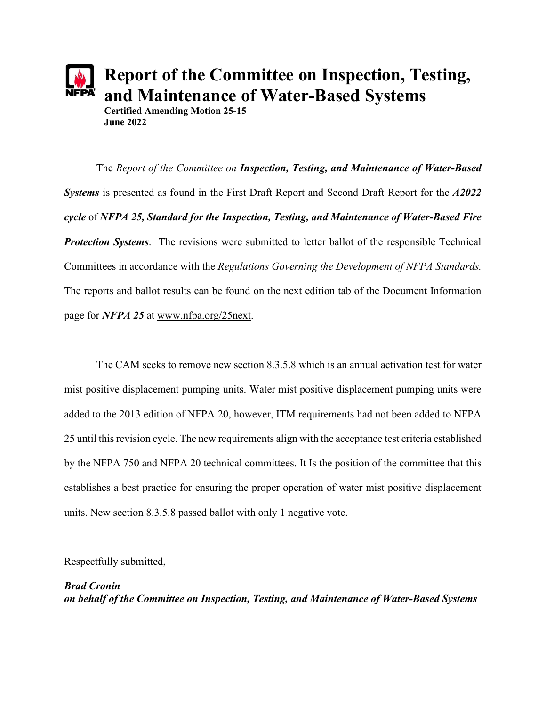

The *Report of the Committee on Inspection, Testing, and Maintenance of Water-Based Systems* is presented as found in the First Draft Report and Second Draft Report for the *A2022 cycle* of *NFPA 25, Standard for the Inspection, Testing, and Maintenance of Water-Based Fire Protection Systems*. The revisions were submitted to letter ballot of the responsible Technical Committees in accordance with the *Regulations Governing the Development of NFPA Standards.* The reports and ballot results can be found on the next edition tab of the Document Information page for *NFPA 25* at [www.nfpa.org/25next.](http://www.nfpa.org/25next)

The CAM seeks to remove new section 8.3.5.8 which is an annual activation test for water mist positive displacement pumping units. Water mist positive displacement pumping units were added to the 2013 edition of NFPA 20, however, ITM requirements had not been added to NFPA 25 until this revision cycle. The new requirements align with the acceptance test criteria established by the NFPA 750 and NFPA 20 technical committees. It Is the position of the committee that this establishes a best practice for ensuring the proper operation of water mist positive displacement units. New section 8.3.5.8 passed ballot with only 1 negative vote.

Respectfully submitted,

## *Brad Cronin on behalf of the Committee on Inspection, Testing, and Maintenance of Water-Based Systems*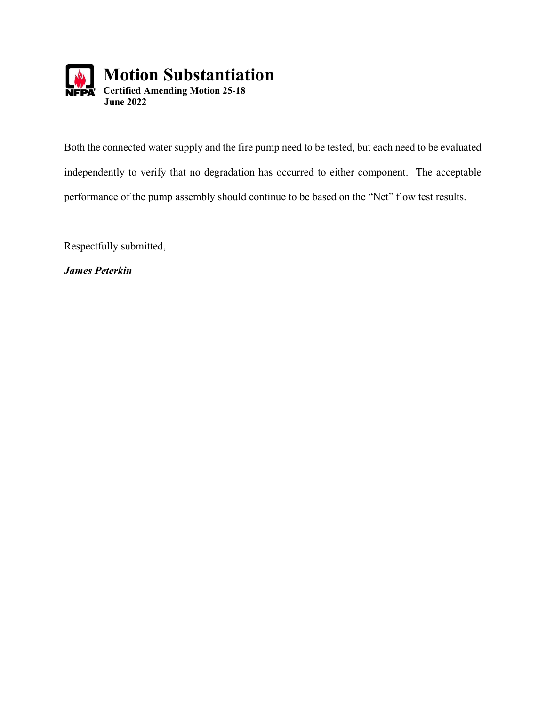

Both the connected water supply and the fire pump need to be tested, but each need to be evaluated independently to verify that no degradation has occurred to either component. The acceptable performance of the pump assembly should continue to be based on the "Net" flow test results.

Respectfully submitted,

*James Peterkin*